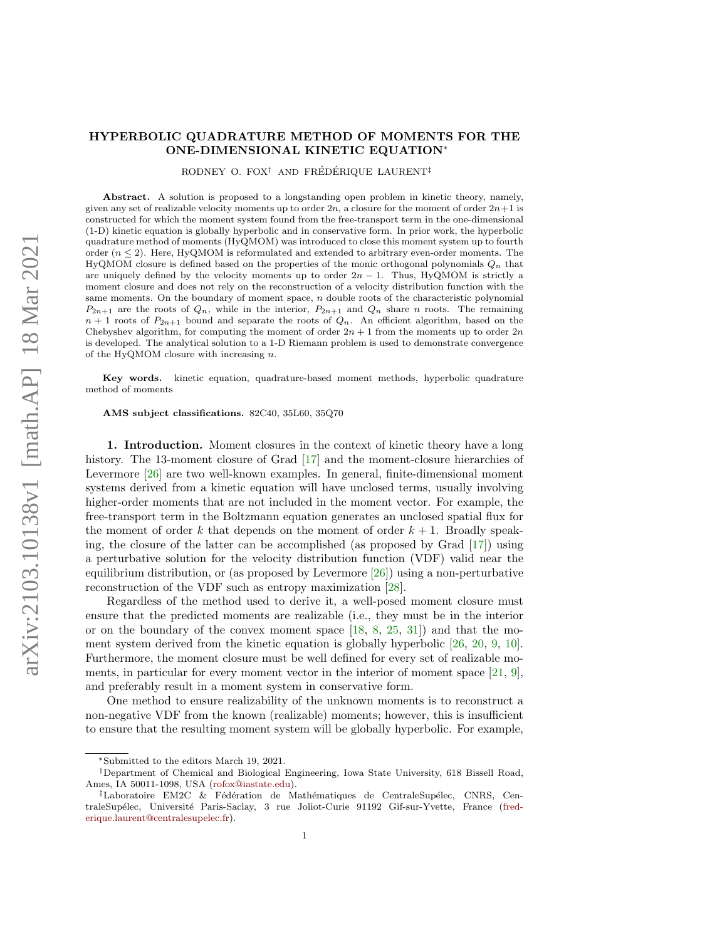## HYPERBOLIC QUADRATURE METHOD OF MOMENTS FOR THE ONE-DIMENSIONAL KINETIC EQUATION<sup>∗</sup>

RODNEY O. FOX<sup>†</sup> AND FRÉDÉRIQUE LAURENT<sup>‡</sup>

Abstract. A solution is proposed to a longstanding open problem in kinetic theory, namely, given any set of realizable velocity moments up to order  $2n$ , a closure for the moment of order  $2n+1$  is constructed for which the moment system found from the free-transport term in the one-dimensional (1-D) kinetic equation is globally hyperbolic and in conservative form. In prior work, the hyperbolic quadrature method of moments (HyQMOM) was introduced to close this moment system up to fourth order  $(n \leq 2)$ . Here, HyQMOM is reformulated and extended to arbitrary even-order moments. The HyQMOM closure is defined based on the properties of the monic orthogonal polynomials  $Q_n$  that are uniquely defined by the velocity moments up to order  $2n - 1$ . Thus, HyQMOM is strictly a moment closure and does not rely on the reconstruction of a velocity distribution function with the same moments. On the boundary of moment space,  $n$  double roots of the characteristic polynomial  $P_{2n+1}$  are the roots of  $Q_n$ , while in the interior,  $P_{2n+1}$  and  $Q_n$  share n roots. The remaining  $n+1$  roots of  $P_{2n+1}$  bound and separate the roots of  $Q_n$ . An efficient algorithm, based on the Chebyshev algorithm, for computing the moment of order  $2n + 1$  from the moments up to order  $2n$ is developed. The analytical solution to a 1-D Riemann problem is used to demonstrate convergence of the HyQMOM closure with increasing  $n$ .

Key words. kinetic equation, quadrature-based moment methods, hyperbolic quadrature method of moments

AMS subject classifications. 82C40, 35L60, 35Q70

1. Introduction. Moment closures in the context of kinetic theory have a long history. The 13-moment closure of Grad [\[17\]](#page-27-0) and the moment-closure hierarchies of Levermore [\[26\]](#page-27-1) are two well-known examples. In general, finite-dimensional moment systems derived from a kinetic equation will have unclosed terms, usually involving higher-order moments that are not included in the moment vector. For example, the free-transport term in the Boltzmann equation generates an unclosed spatial flux for the moment of order k that depends on the moment of order  $k + 1$ . Broadly speaking, the closure of the latter can be accomplished (as proposed by Grad [\[17\]](#page-27-0)) using a perturbative solution for the velocity distribution function (VDF) valid near the equilibrium distribution, or (as proposed by Levermore [\[26\]](#page-27-1)) using a non-perturbative reconstruction of the VDF such as entropy maximization [\[28\]](#page-27-2).

Regardless of the method used to derive it, a well-posed moment closure must ensure that the predicted moments are realizable (i.e., they must be in the interior or on the boundary of the convex moment space [\[18,](#page-27-3) [8,](#page-27-4) [25,](#page-27-5) [31\]](#page-28-0)) and that the moment system derived from the kinetic equation is globally hyperbolic [\[26,](#page-27-1) [20,](#page-27-6) [9,](#page-27-7) [10\]](#page-27-8). Furthermore, the moment closure must be well defined for every set of realizable moments, in particular for every moment vector in the interior of moment space [\[21,](#page-27-9) [9\]](#page-27-7), and preferably result in a moment system in conservative form.

One method to ensure realizability of the unknown moments is to reconstruct a non-negative VDF from the known (realizable) moments; however, this is insufficient to ensure that the resulting moment system will be globally hyperbolic. For example,

<sup>∗</sup>Submitted to the editors March 19, 2021.

<sup>†</sup>Department of Chemical and Biological Engineering, Iowa State University, 618 Bissell Road, Ames, IA 50011-1098, USA [\(rofox@iastate.edu\)](mailto:rofox@iastate.edu).

 $\ddagger$ Laboratoire EM2C & Fédération de Mathématiques de CentraleSupélec, CNRS, Cen-traleSupélec, Université Paris-Saclay, 3 rue Joliot-Curie 91192 Gif-sur-Yvette, France [\(fred](mailto:frederique.laurent@centralesupelec.fr)[erique.laurent@centralesupelec.fr\)](mailto:frederique.laurent@centralesupelec.fr).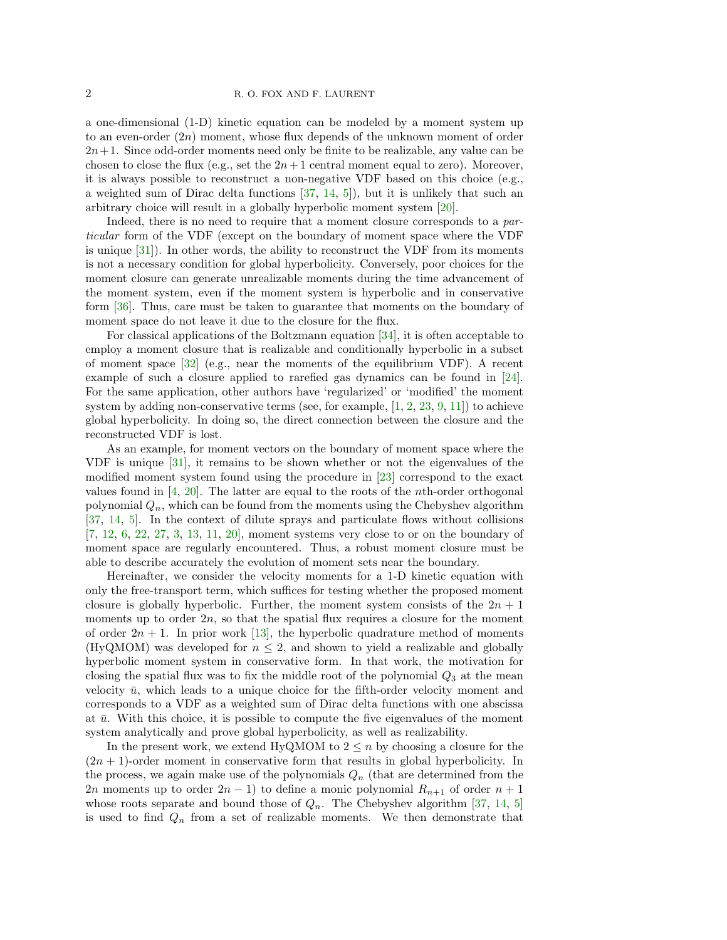a one-dimensional (1-D) kinetic equation can be modeled by a moment system up to an even-order  $(2n)$  moment, whose flux depends of the unknown moment of order  $2n+1$ . Since odd-order moments need only be finite to be realizable, any value can be chosen to close the flux (e.g., set the  $2n+1$  central moment equal to zero). Moreover, it is always possible to reconstruct a non-negative VDF based on this choice (e.g., a weighted sum of Dirac delta functions [\[37,](#page-28-1) [14,](#page-27-10) [5\]](#page-27-11)), but it is unlikely that such an arbitrary choice will result in a globally hyperbolic moment system [\[20\]](#page-27-6).

Indeed, there is no need to require that a moment closure corresponds to a particular form of the VDF (except on the boundary of moment space where the VDF is unique [\[31\]](#page-28-0)). In other words, the ability to reconstruct the VDF from its moments is not a necessary condition for global hyperbolicity. Conversely, poor choices for the moment closure can generate unrealizable moments during the time advancement of the moment system, even if the moment system is hyperbolic and in conservative form [\[36\]](#page-28-2). Thus, care must be taken to guarantee that moments on the boundary of moment space do not leave it due to the closure for the flux.

For classical applications of the Boltzmann equation [\[34\]](#page-28-3), it is often acceptable to employ a moment closure that is realizable and conditionally hyperbolic in a subset of moment space [\[32\]](#page-28-4) (e.g., near the moments of the equilibrium VDF). A recent example of such a closure applied to rarefied gas dynamics can be found in [\[24\]](#page-27-12). For the same application, other authors have 'regularized' or 'modified' the moment system by adding non-conservative terms (see, for example,  $[1, 2, 23, 9, 11]$  $[1, 2, 23, 9, 11]$  $[1, 2, 23, 9, 11]$  $[1, 2, 23, 9, 11]$  $[1, 2, 23, 9, 11]$  $[1, 2, 23, 9, 11]$  $[1, 2, 23, 9, 11]$  $[1, 2, 23, 9, 11]$  $[1, 2, 23, 9, 11]$ ) to achieve global hyperbolicity. In doing so, the direct connection between the closure and the reconstructed VDF is lost.

As an example, for moment vectors on the boundary of moment space where the VDF is unique [\[31\]](#page-28-0), it remains to be shown whether or not the eigenvalues of the modified moment system found using the procedure in [\[23\]](#page-27-15) correspond to the exact values found in  $[4, 20]$  $[4, 20]$  $[4, 20]$ . The latter are equal to the roots of the *n*th-order orthogonal polynomial  $Q_n$ , which can be found from the moments using the Chebyshev algorithm [\[37,](#page-28-1) [14,](#page-27-10) [5\]](#page-27-11). In the context of dilute sprays and particulate flows without collisions [\[7,](#page-27-18) [12,](#page-27-19) [6,](#page-27-20) [22,](#page-27-21) [27,](#page-27-22) [3,](#page-27-23) [13,](#page-27-24) [11,](#page-27-16) [20\]](#page-27-6), moment systems very close to or on the boundary of moment space are regularly encountered. Thus, a robust moment closure must be able to describe accurately the evolution of moment sets near the boundary.

Hereinafter, we consider the velocity moments for a 1-D kinetic equation with only the free-transport term, which suffices for testing whether the proposed moment closure is globally hyperbolic. Further, the moment system consists of the  $2n + 1$ moments up to order  $2n$ , so that the spatial flux requires a closure for the moment of order  $2n + 1$ . In prior work [\[13\]](#page-27-24), the hyperbolic quadrature method of moments (HyQMOM) was developed for  $n \leq 2$ , and shown to yield a realizable and globally hyperbolic moment system in conservative form. In that work, the motivation for closing the spatial flux was to fix the middle root of the polynomial  $Q_3$  at the mean velocity  $\bar{u}$ , which leads to a unique choice for the fifth-order velocity moment and corresponds to a VDF as a weighted sum of Dirac delta functions with one abscissa at  $\bar{u}$ . With this choice, it is possible to compute the five eigenvalues of the moment system analytically and prove global hyperbolicity, as well as realizability.

In the present work, we extend HyQMOM to  $2 \leq n$  by choosing a closure for the  $(2n + 1)$ -order moment in conservative form that results in global hyperbolicity. In the process, we again make use of the polynomials  $Q_n$  (that are determined from the 2n moments up to order  $2n-1$ ) to define a monic polynomial  $R_{n+1}$  of order  $n+1$ whose roots separate and bound those of  $Q_n$ . The Chebyshev algorithm [\[37,](#page-28-1) [14,](#page-27-10) [5\]](#page-27-11) is used to find  $Q_n$  from a set of realizable moments. We then demonstrate that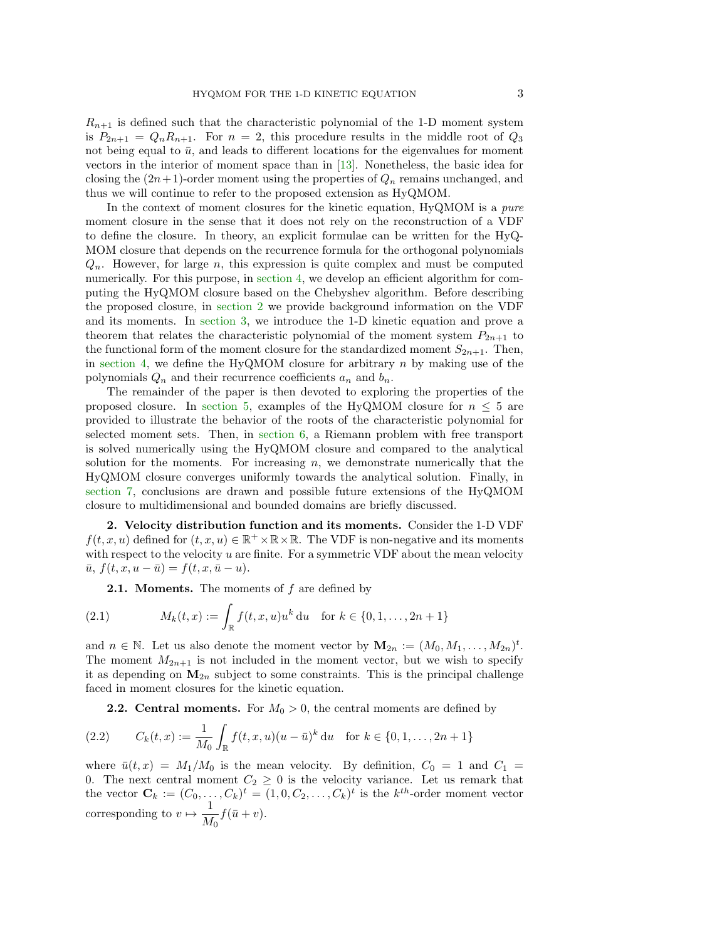$R_{n+1}$  is defined such that the characteristic polynomial of the 1-D moment system is  $P_{2n+1} = Q_n R_{n+1}$ . For  $n = 2$ , this procedure results in the middle root of  $Q_3$ not being equal to  $\bar{u}$ , and leads to different locations for the eigenvalues for moment vectors in the interior of moment space than in [\[13\]](#page-27-24). Nonetheless, the basic idea for closing the  $(2n+1)$ -order moment using the properties of  $Q_n$  remains unchanged, and thus we will continue to refer to the proposed extension as HyQMOM.

In the context of moment closures for the kinetic equation, HyQMOM is a *pure* moment closure in the sense that it does not rely on the reconstruction of a VDF to define the closure. In theory, an explicit formulae can be written for the HyQ-MOM closure that depends on the recurrence formula for the orthogonal polynomials  $Q_n$ . However, for large n, this expression is quite complex and must be computed numerically. For this purpose, in [section 4,](#page-9-0) we develop an efficient algorithm for computing the HyQMOM closure based on the Chebyshev algorithm. Before describing the proposed closure, in [section 2](#page-2-0) we provide background information on the VDF and its moments. In [section 3,](#page-4-0) we introduce the 1-D kinetic equation and prove a theorem that relates the characteristic polynomial of the moment system  $P_{2n+1}$  to the functional form of the moment closure for the standardized moment  $S_{2n+1}$ . Then, in [section 4,](#page-9-0) we define the HyQMOM closure for arbitrary  $n$  by making use of the polynomials  $Q_n$  and their recurrence coefficients  $a_n$  and  $b_n$ .

The remainder of the paper is then devoted to exploring the properties of the proposed closure. In [section 5,](#page-14-0) examples of the HyQMOM closure for  $n \leq 5$  are provided to illustrate the behavior of the roots of the characteristic polynomial for selected moment sets. Then, in [section 6,](#page-16-0) a Riemann problem with free transport is solved numerically using the HyQMOM closure and compared to the analytical solution for the moments. For increasing  $n$ , we demonstrate numerically that the HyQMOM closure converges uniformly towards the analytical solution. Finally, in [section 7,](#page-19-0) conclusions are drawn and possible future extensions of the HyQMOM closure to multidimensional and bounded domains are briefly discussed.

<span id="page-2-0"></span>2. Velocity distribution function and its moments. Consider the 1-D VDF  $f(t, x, u)$  defined for  $(t, x, u) \in \mathbb{R}^+ \times \mathbb{R} \times \mathbb{R}$ . The VDF is non-negative and its moments with respect to the velocity  $u$  are finite. For a symmetric VDF about the mean velocity  $\bar{u}, f(t, x, u - \bar{u}) = f(t, x, \bar{u} - u).$ 

**2.1. Moments.** The moments of  $f$  are defined by

(2.1) 
$$
M_k(t,x) := \int_{\mathbb{R}} f(t,x,u)u^k du \text{ for } k \in \{0,1,\ldots,2n+1\}
$$

and  $n \in \mathbb{N}$ . Let us also denote the moment vector by  $\mathbf{M}_{2n} := (M_0, M_1, \ldots, M_{2n})^t$ . The moment  $M_{2n+1}$  is not included in the moment vector, but we wish to specify it as depending on  $M_{2n}$  subject to some constraints. This is the principal challenge faced in moment closures for the kinetic equation.

**2.2. Central moments.** For  $M_0 > 0$ , the central moments are defined by

(2.2) 
$$
C_k(t,x) := \frac{1}{M_0} \int_{\mathbb{R}} f(t,x,u)(u-\bar{u})^k du \text{ for } k \in \{0,1,\ldots,2n+1\}
$$

where  $\bar{u}(t, x) = M_1/M_0$  is the mean velocity. By definition,  $C_0 = 1$  and  $C_1 =$ 0. The next central moment  $C_2 \geq 0$  is the velocity variance. Let us remark that the vector  $\mathbf{C}_k := (C_0, \ldots, C_k)^t = (1, 0, C_2, \ldots, C_k)^t$  is the  $k^{th}$ -order moment vector corresponding to  $v \mapsto \frac{1}{M}$  $\frac{1}{M_0}f(\bar{u}+v).$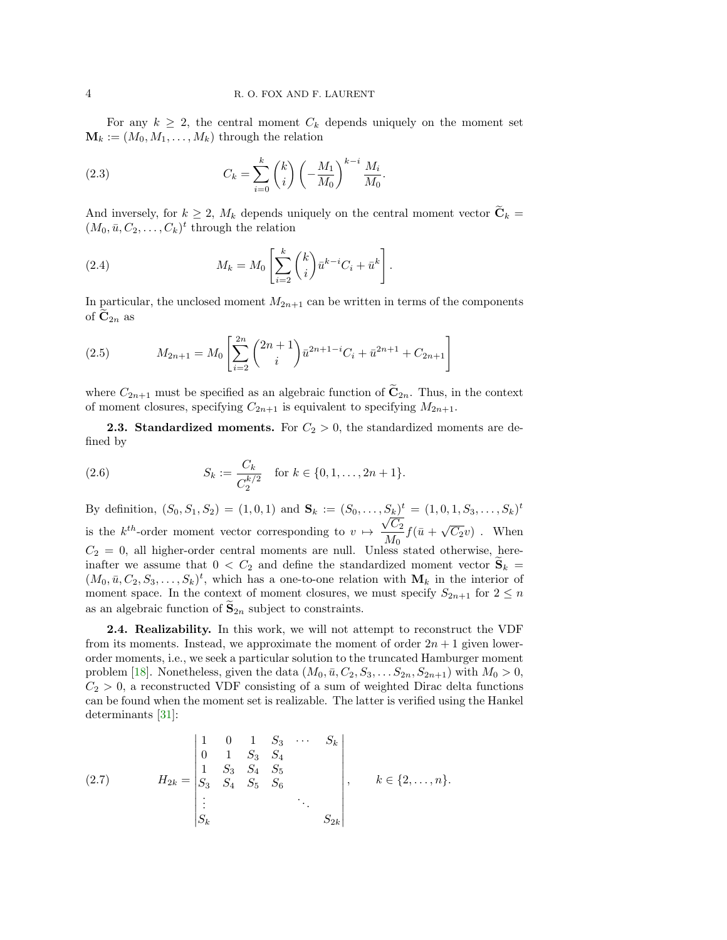For any  $k \geq 2$ , the central moment  $C_k$  depends uniquely on the moment set  $\mathbf{M}_k := (M_0, M_1, \dots, M_k)$  through the relation

<span id="page-3-1"></span>(2.3) 
$$
C_k = \sum_{i=0}^k {k \choose i} \left(-\frac{M_1}{M_0}\right)^{k-i} \frac{M_i}{M_0}
$$

And inversely, for  $k \geq 2$ ,  $M_k$  depends uniquely on the central moment vector  $\widetilde{\mathbf{C}}_k =$  $(M_0, \bar{u}, C_2, \ldots, C_k)^t$  through the relation

.

<span id="page-3-4"></span>(2.4) 
$$
M_k = M_0 \left[ \sum_{i=2}^k {k \choose i} \bar{u}^{k-i} C_i + \bar{u}^k \right].
$$

In particular, the unclosed moment  $M_{2n+1}$  can be written in terms of the components of  $\mathbf{C}_{2n}$  as

<span id="page-3-3"></span>(2.5) 
$$
M_{2n+1} = M_0 \left[ \sum_{i=2}^{2n} {2n+1 \choose i} \bar{u}^{2n+1-i} C_i + \bar{u}^{2n+1} + C_{2n+1} \right]
$$

where  $C_{2n+1}$  must be specified as an algebraic function of  $\tilde{C}_{2n}$ . Thus, in the context of moment closures, specifying  $C_{2n+1}$  is equivalent to specifying  $M_{2n+1}$ .

<span id="page-3-0"></span>**2.3. Standardized moments.** For  $C_2 > 0$ , the standardized moments are defined by

<span id="page-3-2"></span>(2.6) 
$$
S_k := \frac{C_k}{C_2^{k/2}} \quad \text{for } k \in \{0, 1, \dots, 2n+1\}.
$$

By definition,  $(S_0, S_1, S_2) = (1, 0, 1)$  and  $\mathbf{S}_k := (S_0, \ldots, S_k)^t = (1, 0, 1, S_3, \ldots, S_k)^t$ is the  $k^{th}$ -order moment vector corresponding to  $v \mapsto \frac{\sqrt{C_2}}{M}$  $\frac{\sqrt{C_2}}{M_0} f(\bar{u} + \sqrt{C_2}v)$ . When  $C_2 = 0$ , all higher-order central moments are null. Unless stated otherwise, hereinafter we assume that  $0 < C_2$  and define the standardized moment vector  $S_k$  $(M_0, \bar{u}, C_2, S_3, \ldots, S_k)^t$ , which has a one-to-one relation with  $M_k$  in the interior of moment space. In the context of moment closures, we must specify  $S_{2n+1}$  for  $2 \leq n$ as an algebraic function of  $\tilde{\mathbf{S}}_{2n}$  subject to constraints.

2.4. Realizability. In this work, we will not attempt to reconstruct the VDF from its moments. Instead, we approximate the moment of order  $2n + 1$  given lowerorder moments, i.e., we seek a particular solution to the truncated Hamburger moment problem [\[18\]](#page-27-3). Nonetheless, given the data  $(M_0, \bar{u}, C_2, S_3, \ldots, S_{2n}, S_{2n+1})$  with  $M_0 > 0$ ,  $C_2 > 0$ , a reconstructed VDF consisting of a sum of weighted Dirac delta functions can be found when the moment set is realizable. The latter is verified using the Hankel determinants [\[31\]](#page-28-0):

(2.7) 
$$
H_{2k} = \begin{vmatrix} 1 & 0 & 1 & S_3 & \cdots & S_k \\ 0 & 1 & S_3 & S_4 & & \\ 1 & S_3 & S_4 & S_5 & & \\ S_3 & S_4 & S_5 & S_6 & & \\ \vdots & & & & \ddots & \\ S_k & & & & & S_{2k} \end{vmatrix}, \quad k \in \{2, \ldots, n\}.
$$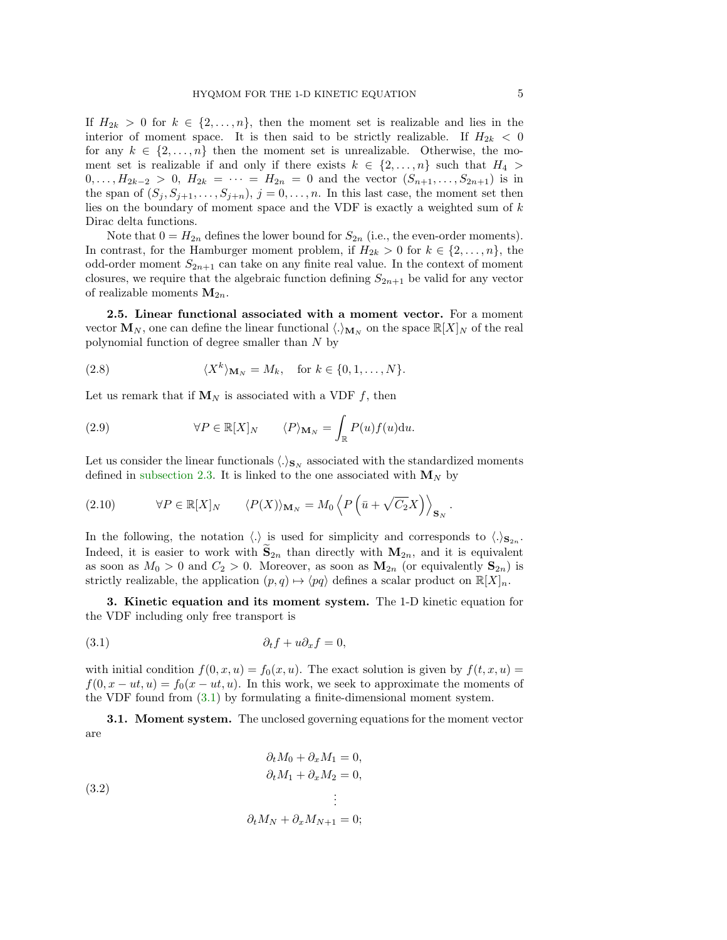If  $H_{2k} > 0$  for  $k \in \{2, ..., n\}$ , then the moment set is realizable and lies in the interior of moment space. It is then said to be strictly realizable. If  $H_{2k} < 0$ for any  $k \in \{2, \ldots, n\}$  then the moment set is unrealizable. Otherwise, the moment set is realizable if and only if there exists  $k \in \{2, \ldots, n\}$  such that  $H_4 >$  $0, \ldots, H_{2k-2} > 0, H_{2k} = \cdots = H_{2n} = 0$  and the vector  $(S_{n+1}, \ldots, S_{2n+1})$  is in the span of  $(S_j, S_{j+1}, \ldots, S_{j+n}), j = 0, \ldots, n$ . In this last case, the moment set then lies on the boundary of moment space and the VDF is exactly a weighted sum of  $k$ Dirac delta functions.

Note that  $0 = H_{2n}$  defines the lower bound for  $S_{2n}$  (i.e., the even-order moments). In contrast, for the Hamburger moment problem, if  $H_{2k} > 0$  for  $k \in \{2, \ldots, n\}$ , the odd-order moment  $S_{2n+1}$  can take on any finite real value. In the context of moment closures, we require that the algebraic function defining  $S_{2n+1}$  be valid for any vector of realizable moments  $M_{2n}$ .

<span id="page-4-2"></span>2.5. Linear functional associated with a moment vector. For a moment vector  $\mathbf{M}_N$ , one can define the linear functional  $\langle \cdot \rangle_{\mathbf{M}_N}$  on the space  $\mathbb{R}[X]_N$  of the real polynomial function of degree smaller than N by

<span id="page-4-4"></span>(2.8) 
$$
\langle X^k \rangle_{\mathbf{M}_N} = M_k, \text{ for } k \in \{0, 1, \dots, N\}.
$$

Let us remark that if  $M_N$  is associated with a VDF f, then

(2.9) 
$$
\forall P \in \mathbb{R}[X]_N \qquad \langle P \rangle_{\mathbf{M}_N} = \int_{\mathbb{R}} P(u) f(u) \mathrm{d}u.
$$

Let us consider the linear functionals  $\langle .\rangle_{\mathbf{S}_N}$  associated with the standardized moments defined in [subsection 2.3.](#page-3-0) It is linked to the one associated with  $M_N$  by

<span id="page-4-3"></span>(2.10) 
$$
\forall P \in \mathbb{R}[X]_N \qquad \langle P(X) \rangle_{\mathbf{M}_N} = M_0 \left\langle P\left(\bar{u} + \sqrt{C_2}X\right)\right\rangle_{\mathbf{S}_N}
$$

In the following, the notation  $\langle . \rangle$  is used for simplicity and corresponds to  $\langle . \rangle_{\mathbf{S}_{2n}}$ . Indeed, it is easier to work with  $S_{2n}$  than directly with  $M_{2n}$ , and it is equivalent as soon as  $M_0 > 0$  and  $C_2 > 0$ . Moreover, as soon as  $\mathbf{M}_{2n}$  (or equivalently  $\mathbf{S}_{2n}$ ) is strictly realizable, the application  $(p, q) \mapsto \langle pq \rangle$  defines a scalar product on  $\mathbb{R}[X]_n$ .

<span id="page-4-0"></span>3. Kinetic equation and its moment system. The 1-D kinetic equation for the VDF including only free transport is

<span id="page-4-1"></span>
$$
(3.1) \t\t \t\t \partial_t f + u \partial_x f = 0,
$$

with initial condition  $f(0, x, u) = f_0(x, u)$ . The exact solution is given by  $f(t, x, u) =$  $f(0, x - ut, u) = f_0(x - ut, u)$ . In this work, we seek to approximate the moments of the VDF found from [\(3.1\)](#page-4-1) by formulating a finite-dimensional moment system.

**3.1. Moment system.** The unclosed governing equations for the moment vector are

$$
\partial_t M_0 + \partial_x M_1 = 0,
$$
  
\n
$$
\partial_t M_1 + \partial_x M_2 = 0,
$$
  
\n
$$
\vdots
$$
  
\n
$$
\partial_t M_N + \partial_x M_{N+1} = 0;
$$

.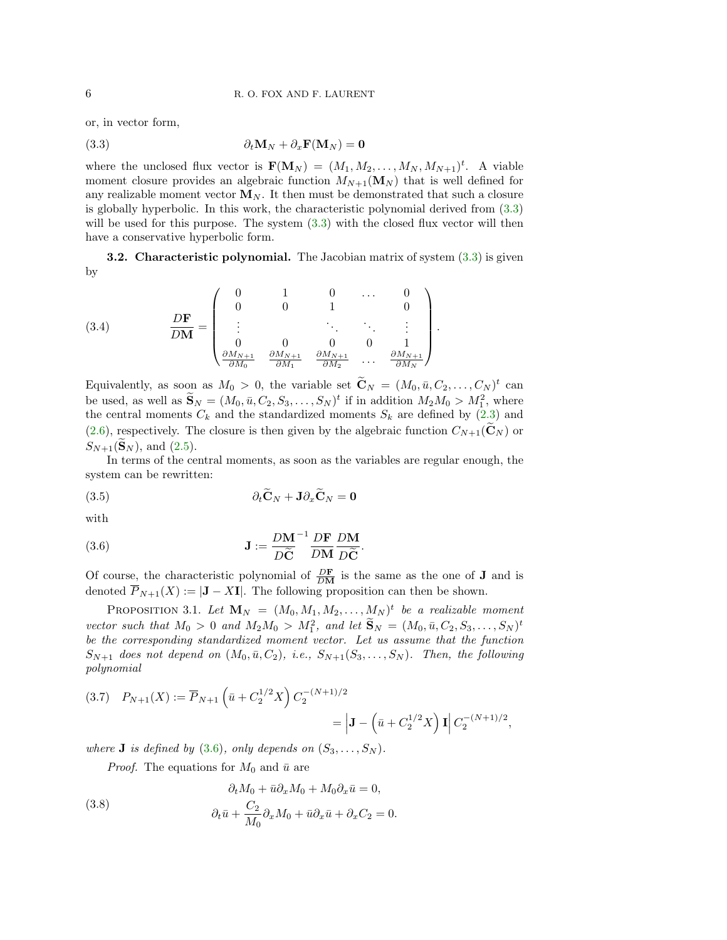or, in vector form,

<span id="page-5-0"></span>(3.3) 
$$
\partial_t \mathbf{M}_N + \partial_x \mathbf{F}(\mathbf{M}_N) = \mathbf{0}
$$

where the unclosed flux vector is  $\mathbf{F}(\mathbf{M}_N) = (M_1, M_2, \dots, M_N, M_{N+1})^t$ . A viable moment closure provides an algebraic function  $M_{N+1}(\mathbf{M}_N)$  that is well defined for any realizable moment vector  $M_N$ . It then must be demonstrated that such a closure is globally hyperbolic. In this work, the characteristic polynomial derived from [\(3.3\)](#page-5-0) will be used for this purpose. The system  $(3.3)$  with the closed flux vector will then have a conservative hyperbolic form.

**3.2.** Characteristic polynomial. The Jacobian matrix of system  $(3.3)$  is given by

<span id="page-5-3"></span>.

<span id="page-5-5"></span>(3.4) 
$$
\frac{D\mathbf{F}}{D\mathbf{M}} = \begin{pmatrix} 0 & 1 & 0 & \dots & 0 \\ 0 & 0 & 1 & & 0 \\ \vdots & & \ddots & \ddots & \vdots \\ 0 & 0 & 0 & 0 & 1 \\ \frac{\partial M_{N+1}}{\partial M_0} & \frac{\partial M_{N+1}}{\partial M_1} & \frac{\partial M_{N+1}}{\partial M_2} & \dots & \frac{\partial M_{N+1}}{\partial M_N} \end{pmatrix}
$$

Equivalently, as soon as  $M_0 > 0$ , the variable set  $\tilde{\mathbf{C}}_N = (M_0, \bar{u}, C_2, \dots, C_N)^t$  can be used, as well as  $\widetilde{\mathbf{S}}_N = (M_0, \bar{u}, C_2, S_3, \dots, S_N)^t$  if in addition  $M_2M_0 > M_1^2$ , where the central moments  $C_k$  and the standardized moments  $S_k$  are defined by  $(2.3)$  and [\(2.6\)](#page-3-2), respectively. The closure is then given by the algebraic function  $C_{N+1}(\tilde{\mathbf{C}}_N)$  or  $S_{N+1}(\mathbf{S}_N)$ , and [\(2.5\)](#page-3-3).

In terms of the central moments, as soon as the variables are regular enough, the system can be rewritten:

(3.5) 
$$
\partial_t \mathbf{C}_N + \mathbf{J} \partial_x \mathbf{C}_N = \mathbf{0}
$$

with

<span id="page-5-1"></span>(3.6) 
$$
\mathbf{J} := \frac{D\mathbf{M}}{D\widetilde{\mathbf{C}}}^{-1} \frac{D\mathbf{F}}{D\mathbf{M}} \frac{D\mathbf{M}}{D\widetilde{\mathbf{C}}}.
$$

Of course, the characteristic polynomial of  $\frac{DF}{DM}$  is the same as the one of **J** and is denoted  $\overline{P}_{N+1}(X) := |J - XI|$ . The following proposition can then be shown.

PROPOSITION 3.1. Let  $\mathbf{M}_N = (M_0, M_1, M_2, \ldots, M_N)^t$  be a realizable moment vector such that  $M_0 > 0$  and  $M_2M_0 > M_1^2$ , and let  $\widetilde{\mathbf{S}}_N = (M_0, \bar{u}, C_2, S_3, \ldots, S_N)^t$ be the corresponding standardized moment vector. Let us assume that the function  $S_{N+1}$  does not depend on  $(M_0, \bar{u}, C_2)$ , i.e.,  $S_{N+1}(S_3, \ldots, S_N)$ . Then, the following polynomial

<span id="page-5-4"></span>
$$
(3.7) \quad P_{N+1}(X) := \overline{P}_{N+1} \left( \bar{u} + C_2^{1/2} X \right) C_2^{-(N+1)/2}
$$

$$
= \left| \mathbf{J} - \left( \bar{u} + C_2^{1/2} X \right) \mathbf{I} \right| C_2^{-(N+1)/2},
$$

where **J** is defined by [\(3.6\)](#page-5-1), only depends on  $(S_3, \ldots, S_N)$ .

<span id="page-5-2"></span>*Proof.* The equations for  $M_0$  and  $\bar{u}$  are

(3.8) 
$$
\partial_t M_0 + \bar{u} \partial_x M_0 + M_0 \partial_x \bar{u} = 0,
$$

$$
\partial_t \bar{u} + \frac{C_2}{M_0} \partial_x M_0 + \bar{u} \partial_x \bar{u} + \partial_x C_2 = 0.
$$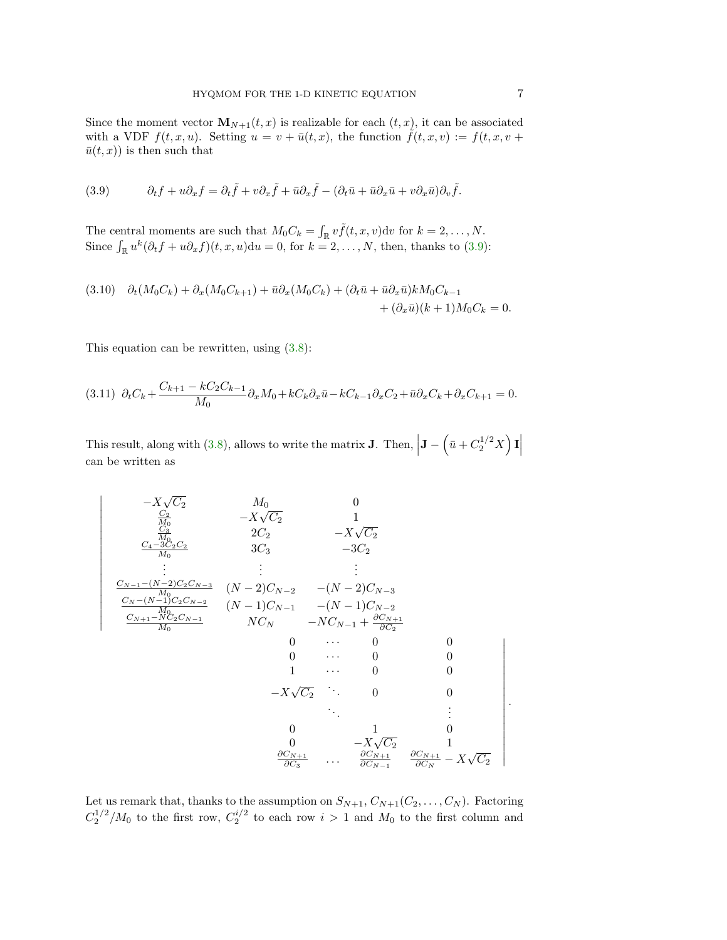Since the moment vector  $\mathbf{M}_{N+1}(t,x)$  is realizable for each  $(t,x)$ , it can be associated with a VDF  $f(t, x, u)$ . Setting  $u = v + \bar{u}(t, x)$ , the function  $\tilde{f}(t, x, v) := f(t, x, v +$  $\bar{u}(t, x)$  is then such that

<span id="page-6-0"></span>(3.9) 
$$
\partial_t f + u \partial_x f = \partial_t \tilde{f} + v \partial_x \tilde{f} + \bar{u} \partial_x \tilde{f} - (\partial_t \bar{u} + \bar{u} \partial_x \bar{u} + v \partial_x \bar{u}) \partial_v \tilde{f}.
$$

The central moments are such that  $M_0 C_k = \int_{\mathbb{R}} v \tilde{f}(t, x, v) dv$  for  $k = 2, ..., N$ . Since  $\int_{\mathbb{R}} u^k (\partial_t f + u \partial_x f)(t, x, u) du = 0$ , for  $k = 2, ..., N$ , then, thanks to [\(3.9\)](#page-6-0):

$$
(3.10) \quad \partial_t(M_0C_k) + \partial_x(M_0C_{k+1}) + \bar{u}\partial_x(M_0C_k) + (\partial_t\bar{u} + \bar{u}\partial_x\bar{u})kM_0C_{k-1} + (\partial_x\bar{u})(k+1)M_0C_k = 0.
$$

This equation can be rewritten, using [\(3.8\)](#page-5-2):

 $\overline{\phantom{a}}$  $\overline{\phantom{a}}$  $\overline{\phantom{a}}$  $\overline{\phantom{a}}$  $\overline{\phantom{a}}$  $\overline{\phantom{a}}$  $\overline{\phantom{a}}$ I I  $\overline{\phantom{a}}$ I  $\overline{\phantom{a}}$  $\overline{\phantom{a}}$  $\overline{\phantom{a}}$  $\overline{\phantom{a}}$  $\overline{\phantom{a}}$  $\overline{\phantom{a}}$  $\overline{\phantom{a}}$  $\overline{\phantom{a}}$ 

$$
(3.11) \partial_t C_k + \frac{C_{k+1} - kC_2C_{k-1}}{M_0} \partial_x M_0 + kC_k \partial_x \bar{u} - kC_{k-1} \partial_x C_2 + \bar{u} \partial_x C_k + \partial_x C_{k+1} = 0.
$$

This result, along with [\(3.8\)](#page-5-2), allows to write the matrix **J**. Then,  $\left| \mathbf{J} - \left( \bar{u} + C_2^{1/2} X \right) \mathbf{I} \right|$ can be written as

−X √ C<sup>2</sup> M<sup>0</sup> 0 C<sup>2</sup> M<sup>0</sup> −X √ C<sup>2</sup> 1 C<sup>3</sup> M<sup>0</sup> 2C<sup>2</sup> −X √ C<sup>2</sup> C4−3C2C<sup>2</sup> M<sup>0</sup> 3C<sup>3</sup> −3C<sup>2</sup> . . . . . . . . . CN−1−(N−2)C2CN−<sup>3</sup> M<sup>0</sup> (N − 2)CN−<sup>2</sup> −(N − 2)CN−<sup>3</sup> C<sup>N</sup> −(N−1)C2CN−<sup>2</sup> M<sup>0</sup> (N − 1)CN−<sup>1</sup> −(N − 1)CN−<sup>2</sup> CN+1−NC2CN−<sup>1</sup> M<sup>0</sup> NC<sup>N</sup> −NCN−<sup>1</sup> + ∂CN+1 ∂C<sup>2</sup> 0 · · · 0 0 0 · · · 0 0 1 · · · 0 0 −X √ C<sup>2</sup> . . . 0 0 . . . . . . 0 1 0 0 −X √ C<sup>2</sup> 1 ∂CN+1 ∂C<sup>3</sup> . . . ∂CN+1 ∂CN−<sup>1</sup> ∂CN+1 ∂C<sup>N</sup> − X √ C<sup>2</sup> .

Let us remark that, thanks to the assumption on  $S_{N+1}, C_{N+1}(C_2, \ldots, C_N)$ . Factoring  $C_2^{1/2}/M_0$  to the first row,  $C_2^{i/2}$  to each row  $i > 1$  and  $M_0$  to the first column and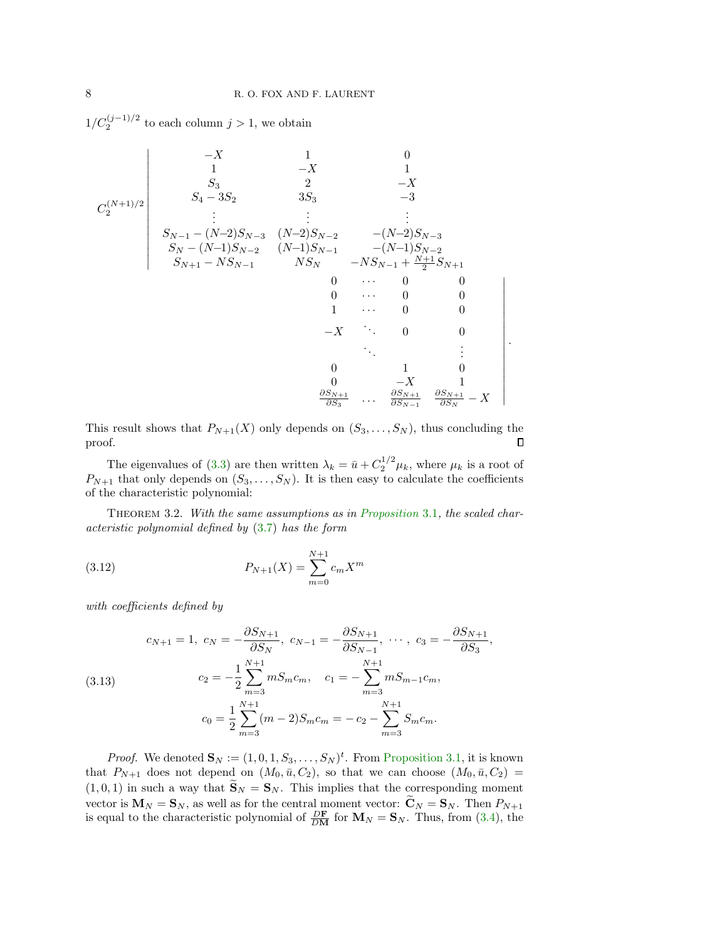$1/C_2^{(j-1)/2}$  to each column  $j > 1$ , we obtain

$$
\begin{array}{c|cccc}\n-X & 1 & 0 \\
1 & -X & 1 \\
S_3 & 2 & -X \\
S_4 - 3S_2 & 3S_3 & -3 \\
& \vdots & \vdots & \vdots \\
S_{N-1} - (N-2)S_{N-3} & (N-2)S_{N-2} & -(N-2)S_{N-3} \\
S_N - (N-1)S_{N-2} & (N-1)S_{N-1} & -(N-1)S_{N-2} \\
S_{N+1} - NS_{N-1} & NS_N & -NS_{N-1} + \frac{N+1}{2}S_{N+1} \\
0 & \cdots & 0 & 0 \\
0 & \cdots & 0 & 0 \\
& 0 & \cdots & 0 & 0 \\
& -X & \ddots & 0 & 0 \\
& & 0 & -X & 1 \\
& & & \frac{\partial S_{N+1}}{\partial S_3} & \cdots & \frac{\partial S_{N+1}}{\partial S_{N-1}} & \frac{\partial S_{N+1}}{\partial S_N} & -X \\
\end{array}
$$

This result shows that  $P_{N+1}(X)$  only depends on  $(S_3, \ldots, S_N)$ , thus concluding the proof.  $\Box$ 

The eigenvalues of [\(3.3\)](#page-5-0) are then written  $\lambda_k = \bar{u} + C_2^{1/2} \mu_k$ , where  $\mu_k$  is a root of  $P_{N+1}$  that only depends on  $(S_3, \ldots, S_N)$ . It is then easy to calculate the coefficients of the characteristic polynomial:

<span id="page-7-1"></span>Theorem 3.2. With the same assumptions as in [Proposition](#page-5-3) 3.1, the scaled characteristic polynomial defined by [\(3.7\)](#page-5-4) has the form

(3.12) 
$$
P_{N+1}(X) = \sum_{m=0}^{N+1} c_m X^m
$$

with coefficients defined by

<span id="page-7-0"></span>(3.13) 
$$
c_{N+1} = 1, \ c_N = -\frac{\partial S_{N+1}}{\partial S_N}, \ c_{N-1} = -\frac{\partial S_{N+1}}{\partial S_{N-1}}, \ \cdots, \ c_3 = -\frac{\partial S_{N+1}}{\partial S_3},
$$

$$
c_2 = -\frac{1}{2} \sum_{m=3}^{N+1} m S_m c_m, \quad c_1 = -\sum_{m=3}^{N+1} m S_{m-1} c_m,
$$

$$
c_0 = \frac{1}{2} \sum_{m=3}^{N+1} (m-2) S_m c_m = -c_2 - \sum_{m=3}^{N+1} S_m c_m.
$$

*Proof.* We denoted  $\mathbf{S}_N := (1, 0, 1, S_3, \dots, S_N)^t$ . From [Proposition 3.1,](#page-5-3) it is known that  $P_{N+1}$  does not depend on  $(M_0, \bar{u}, C_2)$ , so that we can choose  $(M_0, \bar{u}, C_2)$  =  $(1, 0, 1)$  in such a way that  $\widetilde{\mathbf{S}}_N = \mathbf{S}_N$ . This implies that the corresponding moment vector is  $\mathbf{M}_N = \mathbf{S}_N$ , as well as for the central moment vector:  $\widetilde{\mathbf{C}}_N = \mathbf{S}_N$ . Then  $P_{N+1}$ is equal to the characteristic polynomial of  $\frac{D\mathbf{F}}{DM}$  for  $\mathbf{M}_N = \mathbf{S}_N$ . Thus, from [\(3.4\)](#page-5-5), the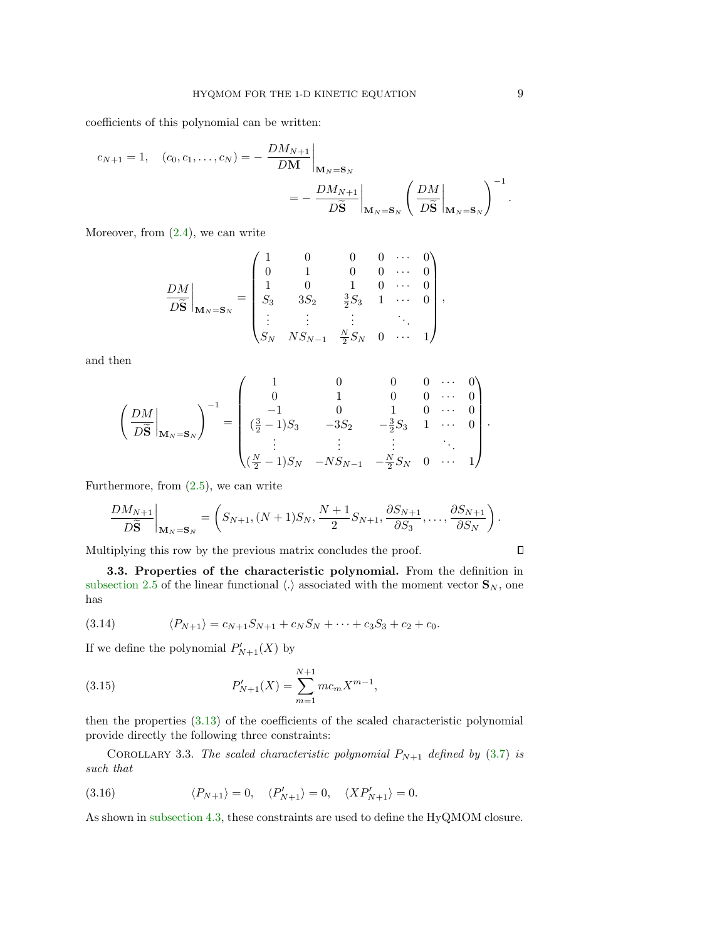coefficients of this polynomial can be written:

$$
c_{N+1} = 1, \quad (c_0, c_1, \dots, c_N) = -\left. \frac{DM_{N+1}}{DM} \right|_{\mathbf{M}_N = \mathbf{S}_N}
$$
  
= 
$$
-\left. \frac{DM_{N+1}}{D\widetilde{\mathbf{S}}} \right|_{\mathbf{M}_N = \mathbf{S}_N} \left( \left. \frac{DM}{D\widetilde{\mathbf{S}}} \right|_{\mathbf{M}_N = \mathbf{S}_N} \right)^{-1}.
$$

Moreover, from  $(2.4)$ , we can write

$$
\frac{DM}{D\widetilde{\mathbf{S}}}\Big|_{\mathbf{M}_{N}=\mathbf{S}_{N}} = \begin{pmatrix} 1 & 0 & 0 & 0 & \cdots & 0 \\ 0 & 1 & 0 & 0 & \cdots & 0 \\ 1 & 0 & 1 & 0 & \cdots & 0 \\ S_{3} & 3S_{2} & \frac{3}{2}S_{3} & 1 & \cdots & 0 \\ \vdots & \vdots & \vdots & & \ddots & \\ S_{N} & NS_{N-1} & \frac{N}{2}S_{N} & 0 & \cdots & 1 \end{pmatrix},
$$

and then

$$
\left(\frac{DM}{D\widetilde{\mathbf{S}}}\bigg|_{\mathbf{M}_{N}=\mathbf{S}_{N}}\right)^{-1} = \begin{pmatrix} 1 & 0 & 0 & 0 & \cdots & 0 \\ 0 & 1 & 0 & 0 & \cdots & 0 \\ -1 & 0 & 1 & 0 & \cdots & 0 \\ \left(\frac{3}{2}-1\right)S_{3} & -3S_{2} & -\frac{3}{2}S_{3} & 1 & \cdots & 0 \\ \vdots & \vdots & \vdots & \ddots & \vdots & \ddots \\ \left(\frac{N}{2}-1\right)S_{N} & -NS_{N-1} & -\frac{N}{2}S_{N} & 0 & \cdots & 1 \end{pmatrix}.
$$

Furthermore, from [\(2.5\)](#page-3-3), we can write

$$
\frac{DM_{N+1}}{D\widetilde{\mathbf{S}}}\bigg|_{\mathbf{M}_{N}=\mathbf{S}_{N}} = \left(S_{N+1}, (N+1)S_{N}, \frac{N+1}{2}S_{N+1}, \frac{\partial S_{N+1}}{\partial S_{3}}, \ldots, \frac{\partial S_{N+1}}{\partial S_{N}}\right).
$$

Multiplying this row by the previous matrix concludes the proof.

3.3. Properties of the characteristic polynomial. From the definition in [subsection 2.5](#page-4-2) of the linear functional  $\langle . \rangle$  associated with the moment vector  $\mathbf{S}_N$ , one has

(3.14) 
$$
\langle P_{N+1} \rangle = c_{N+1} S_{N+1} + c_N S_N + \dots + c_3 S_3 + c_2 + c_0.
$$

If we define the polynomial  $P'_{N+1}(X)$  by

(3.15) 
$$
P'_{N+1}(X) = \sum_{m=1}^{N+1} mc_m X^{m-1},
$$

then the properties [\(3.13\)](#page-7-0) of the coefficients of the scaled characteristic polynomial provide directly the following three constraints:

COROLLARY 3.3. The scaled characteristic polynomial  $P_{N+1}$  defined by [\(3.7\)](#page-5-4) is such that

<span id="page-8-0"></span>(3.16) 
$$
\langle P_{N+1} \rangle = 0, \quad \langle P'_{N+1} \rangle = 0, \quad \langle X P'_{N+1} \rangle = 0.
$$

As shown in [subsection 4.3,](#page-11-0) these constraints are used to define the HyQMOM closure.

 $\Box$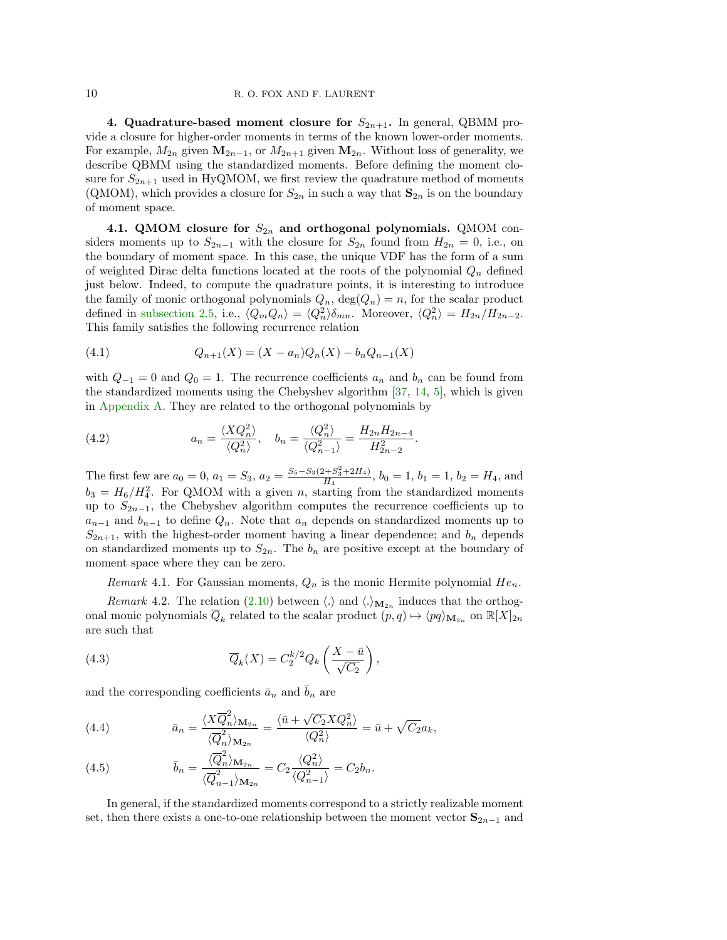<span id="page-9-0"></span>4. Quadrature-based moment closure for  $S_{2n+1}$ . In general, QBMM provide a closure for higher-order moments in terms of the known lower-order moments. For example,  $M_{2n}$  given  $\mathbf{M}_{2n-1}$ , or  $M_{2n+1}$  given  $\mathbf{M}_{2n}$ . Without loss of generality, we describe QBMM using the standardized moments. Before defining the moment closure for  $S_{2n+1}$  used in HyQMOM, we first review the quadrature method of moments (QMOM), which provides a closure for  $S_{2n}$  in such a way that  $\mathbf{S}_{2n}$  is on the boundary of moment space.

4.1. QMOM closure for  $S_{2n}$  and orthogonal polynomials. QMOM considers moments up to  $S_{2n-1}$  with the closure for  $S_{2n}$  found from  $H_{2n} = 0$ , i.e., on the boundary of moment space. In this case, the unique VDF has the form of a sum of weighted Dirac delta functions located at the roots of the polynomial  $Q_n$  defined just below. Indeed, to compute the quadrature points, it is interesting to introduce the family of monic orthogonal polynomials  $Q_n$ ,  $deg(Q_n) = n$ , for the scalar product defined in [subsection 2.5,](#page-4-2) i.e.,  $\langle Q_m Q_n \rangle = \langle Q_n^2 \rangle \delta_{mn}$ . Moreover,  $\langle Q_n^2 \rangle = H_{2n}/H_{2n-2}$ . This family satisfies the following recurrence relation

<span id="page-9-2"></span>(4.1) 
$$
Q_{n+1}(X) = (X - a_n)Q_n(X) - b_n Q_{n-1}(X)
$$

with  $Q_{-1} = 0$  and  $Q_0 = 1$ . The recurrence coefficients  $a_n$  and  $b_n$  can be found from the standardized moments using the Chebyshev algorithm [\[37,](#page-28-1) [14,](#page-27-10) [5\]](#page-27-11), which is given in [Appendix A.](#page-20-0) They are related to the orthogonal polynomials by

<span id="page-9-1"></span>(4.2) 
$$
a_n = \frac{\langle XQ_n^2 \rangle}{\langle Q_n^2 \rangle}, \quad b_n = \frac{\langle Q_n^2 \rangle}{\langle Q_{n-1}^2 \rangle} = \frac{H_{2n}H_{2n-4}}{H_{2n-2}^2}.
$$

The first few are  $a_0 = 0$ ,  $a_1 = S_3$ ,  $a_2 = \frac{S_5 - S_3(2 + S_3^2 + 2H_4)}{H_4}$ ,  $b_0 = 1$ ,  $b_1 = 1$ ,  $b_2 = H_4$ , and  $b_3 = H_6/H_4^2$ . For QMOM with a given n, starting from the standardized moments up to  $S_{2n-1}$ , the Chebyshev algorithm computes the recurrence coefficients up to  $a_{n-1}$  and  $b_{n-1}$  to define  $Q_n$ . Note that  $a_n$  depends on standardized moments up to  $S_{2n+1}$ , with the highest-order moment having a linear dependence; and  $b_n$  depends on standardized moments up to  $S_{2n}$ . The  $b_n$  are positive except at the boundary of moment space where they can be zero.

<span id="page-9-4"></span>Remark 4.1. For Gaussian moments,  $Q_n$  is the monic Hermite polynomial  $He_n$ .

,

<span id="page-9-3"></span>*Remark* 4.2. The relation [\(2.10\)](#page-4-3) between  $\langle . \rangle$  and  $\langle . \rangle_{\mathbf{M}_{2n}}$  induces that the orthogonal monic polynomials  $\overline{Q}_k$  related to the scalar product  $(p, q) \mapsto \langle pq \rangle_{\mathbf{M}_{2n}}$  on  $\mathbb{R}[X]_{2n}$ are such that

(4.3) 
$$
\overline{Q}_k(X) = C_2^{k/2} Q_k \left( \frac{X - \bar{u}}{\sqrt{C_2}} \right)
$$

and the corresponding coefficients  $\bar{a}_n$  and  $\bar{b}_n$  are

(4.4) 
$$
\bar{a}_n = \frac{\langle X \overline{Q}_n^2 \rangle_{\mathbf{M}_{2n}}}{\langle \overline{Q}_n^2 \rangle_{\mathbf{M}_{2n}}} = \frac{\langle \overline{u} + \sqrt{C_2} X Q_n^2 \rangle}{\langle Q_n^2 \rangle} = \overline{u} + \sqrt{C_2} a_k,
$$

(4.5) 
$$
\bar{b}_n = \frac{\langle \overline{Q}_n^2 \rangle_{\mathbf{M}_{2n}}}{\langle \overline{Q}_{n-1}^2 \rangle_{\mathbf{M}_{2n}}} = C_2 \frac{\langle Q_n^2 \rangle}{\langle Q_{n-1}^2 \rangle} = C_2 b_n.
$$

In general, if the standardized moments correspond to a strictly realizable moment set, then there exists a one-to-one relationship between the moment vector  $S_{2n-1}$  and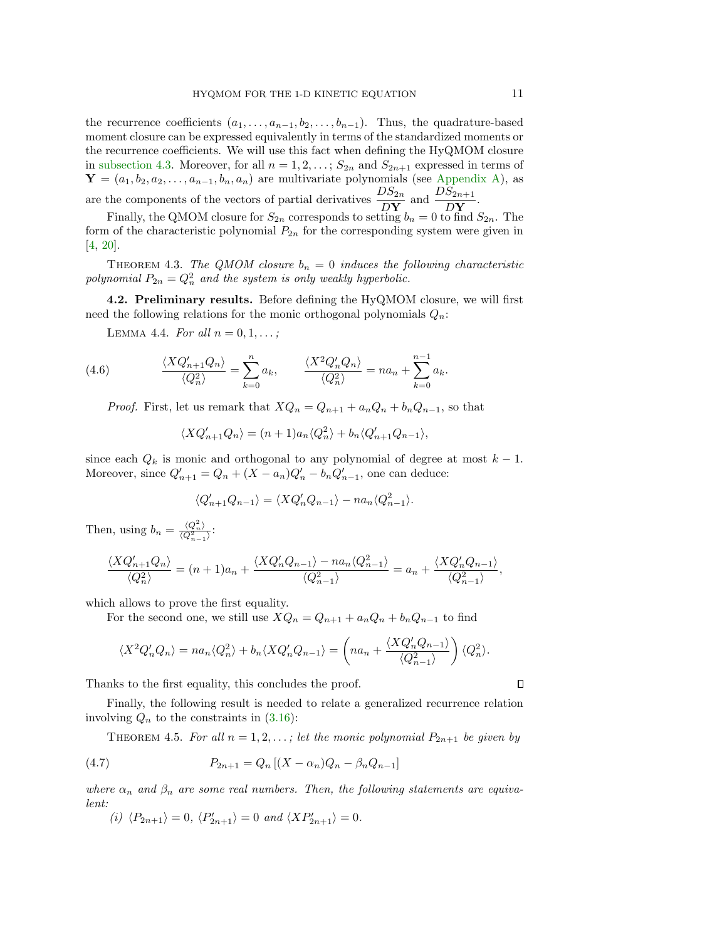the recurrence coefficients  $(a_1, \ldots, a_{n-1}, b_2, \ldots, b_{n-1})$ . Thus, the quadrature-based moment closure can be expressed equivalently in terms of the standardized moments or the recurrence coefficients. We will use this fact when defining the HyQMOM closure in [subsection 4.3.](#page-11-0) Moreover, for all  $n = 1, 2, \ldots$ ;  $S_{2n}$  and  $S_{2n+1}$  expressed in terms of  $\mathbf{Y} = (a_1, b_2, a_2, \dots, a_{n-1}, b_n, a_n)$  are multivariate polynomials (see [Appendix A\)](#page-20-0), as are the components of the vectors of partial derivatives  $\frac{DS_{2n}}{DY}$  and  $\frac{DS_{2n+1}}{DY}$ .

Finally, the QMOM closure for  $S_{2n}$  corresponds to setting  $b_n = 0$  to find  $S_{2n}$ . The form of the characteristic polynomial  $P_{2n}$  for the corresponding system were given in [\[4,](#page-27-17) [20\]](#page-27-6).

THEOREM 4.3. The QMOM closure  $b_n = 0$  induces the following characteristic polynomial  $P_{2n} = Q_n^2$  and the system is only weakly hyperbolic.

4.2. Preliminary results. Before defining the HyQMOM closure, we will first need the following relations for the monic orthogonal polynomials  $Q_n$ :

LEMMA 4.4. For all  $n = 0, 1, \ldots;$ 

(4.6) 
$$
\frac{\langle XQ_{n+1}'Q_n \rangle}{\langle Q_n^2 \rangle} = \sum_{k=0}^n a_k, \qquad \frac{\langle X^2Q_n'Q_n \rangle}{\langle Q_n^2 \rangle} = na_n + \sum_{k=0}^{n-1} a_k.
$$

*Proof.* First, let us remark that  $XQ_n = Q_{n+1} + a_nQ_n + b_nQ_{n-1}$ , so that

<span id="page-10-0"></span>
$$
\langle XQ'_{n+1}Q_n \rangle = (n+1)a_n \langle Q_n^2 \rangle + b_n \langle Q'_{n+1}Q_{n-1} \rangle,
$$

since each  $Q_k$  is monic and orthogonal to any polynomial of degree at most  $k-1$ . Moreover, since  $Q'_{n+1} = Q_n + (X - a_n)Q'_n - b_n Q'_{n-1}$ , one can deduce:

$$
\langle Q'_{n+1}Q_{n-1}\rangle = \langle XQ'_{n}Q_{n-1}\rangle - na_{n}\langle Q^{2}_{n-1}\rangle.
$$

Then, using  $b_n = \frac{\langle Q_n^2 \rangle}{\langle Q_{n-1}^2 \rangle}$ :

$$
\frac{\langle XQ_{n+1}'Q_n\rangle}{\langle Q_n^2\rangle} = (n+1)a_n + \frac{\langle XQ_n'Q_{n-1}\rangle - na_n\langle Q_{n-1}^2\rangle}{\langle Q_{n-1}^2\rangle} = a_n + \frac{\langle XQ_n'Q_{n-1}\rangle}{\langle Q_{n-1}^2\rangle},
$$

which allows to prove the first equality.

For the second one, we still use  $XQ_n = Q_{n+1} + a_n Q_n + b_n Q_{n-1}$  to find

<span id="page-10-1"></span>
$$
\langle X^2 Q_n' Q_n \rangle = na_n \langle Q_n^2 \rangle + b_n \langle X Q_n' Q_{n-1} \rangle = \left( na_n + \frac{\langle X Q_n' Q_{n-1} \rangle}{\langle Q_{n-1}^2 \rangle} \right) \langle Q_n^2 \rangle.
$$

Thanks to the first equality, this concludes the proof.

Finally, the following result is needed to relate a generalized recurrence relation involving  $Q_n$  to the constraints in  $(3.16)$ :

THEOREM 4.5. For all  $n = 1, 2, \ldots$ ; let the monic polynomial  $P_{2n+1}$  be given by

(4.7) 
$$
P_{2n+1} = Q_n [(X - \alpha_n)Q_n - \beta_n Q_{n-1}]
$$

where  $\alpha_n$  and  $\beta_n$  are some real numbers. Then, the following statements are equivalent:

(i)  $\langle P_{2n+1} \rangle = 0, \langle P'_{2n+1} \rangle = 0$  and  $\langle XP'_{2n+1} \rangle = 0$ .

 $\Box$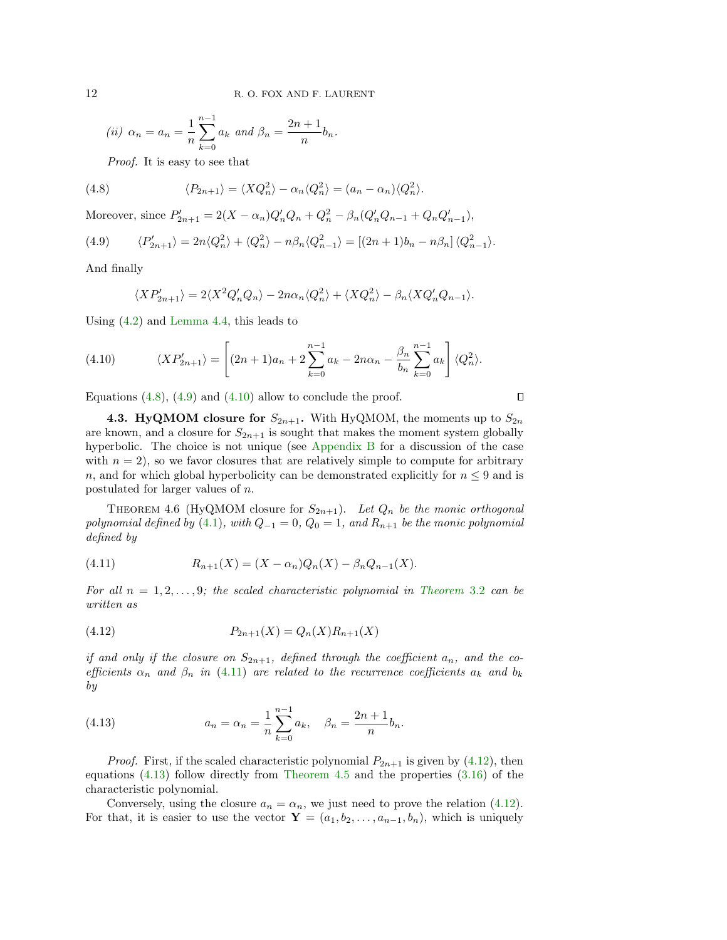(ii) 
$$
\alpha_n = a_n = \frac{1}{n} \sum_{k=0}^{n-1} a_k
$$
 and  $\beta_n = \frac{2n+1}{n} b_n$ .

<span id="page-11-1"></span>Proof. It is easy to see that

(4.8) 
$$
\langle P_{2n+1} \rangle = \langle XQ_n^2 \rangle - \alpha_n \langle Q_n^2 \rangle = (a_n - \alpha_n) \langle Q_n^2 \rangle.
$$

Moreover, since  $P'_{2n+1} = 2(X - \alpha_n)Q'_nQ_n + Q_n^2 - \beta_n(Q'_nQ_{n-1} + Q_nQ'_{n-1}),$ 

<span id="page-11-2"></span>(4.9) 
$$
\langle P'_{2n+1} \rangle = 2n \langle Q_n^2 \rangle + \langle Q_n^2 \rangle - n \beta_n \langle Q_{n-1}^2 \rangle = \left[ (2n+1)b_n - n \beta_n \right] \langle Q_{n-1}^2 \rangle.
$$

And finally

<span id="page-11-3"></span>
$$
\langle XP'_{2n+1} \rangle = 2\langle X^2 Q'_n Q_n \rangle - 2n\alpha_n \langle Q_n^2 \rangle + \langle X Q_n^2 \rangle - \beta_n \langle X Q'_n Q_{n-1} \rangle.
$$

Using [\(4.2\)](#page-9-1) and [Lemma 4.4,](#page-10-0) this leads to

(4.10) 
$$
\langle XP'_{2n+1} \rangle = \left[ (2n+1)a_n + 2 \sum_{k=0}^{n-1} a_k - 2n \alpha_n - \frac{\beta_n}{b_n} \sum_{k=0}^{n-1} a_k \right] \langle Q_n^2 \rangle.
$$

Equations  $(4.8)$ ,  $(4.9)$  and  $(4.10)$  allow to conclude the proof.

<span id="page-11-0"></span>**4.3. HyQMOM closure for**  $S_{2n+1}$ . With HyQMOM, the moments up to  $S_{2n}$ are known, and a closure for  $S_{2n+1}$  is sought that makes the moment system globally hyperbolic. The choice is not unique (see [Appendix B](#page-21-0) for a discussion of the case with  $n = 2$ , so we favor closures that are relatively simple to compute for arbitrary n, and for which global hyperbolicity can be demonstrated explicitly for  $n \leq 9$  and is postulated for larger values of n.

 $\Box$ 

<span id="page-11-7"></span>THEOREM 4.6 (HyQMOM closure for  $S_{2n+1}$ ). Let  $Q_n$  be the monic orthogonal polynomial defined by [\(4.1\)](#page-9-2), with  $Q_{-1} = 0$ ,  $Q_0 = 1$ , and  $R_{n+1}$  be the monic polynomial defined by

<span id="page-11-4"></span>(4.11) 
$$
R_{n+1}(X) = (X - \alpha_n)Q_n(X) - \beta_n Q_{n-1}(X).
$$

For all  $n = 1, 2, ..., 9$ ; the scaled characteristic polynomial in [Theorem](#page-7-1) 3.2 can be written as

<span id="page-11-5"></span>(4.12) 
$$
P_{2n+1}(X) = Q_n(X)R_{n+1}(X)
$$

if and only if the closure on  $S_{2n+1}$ , defined through the coefficient  $a_n$ , and the coefficients  $\alpha_n$  and  $\beta_n$  in [\(4.11\)](#page-11-4) are related to the recurrence coefficients  $a_k$  and  $b_k$ by

<span id="page-11-6"></span>(4.13) 
$$
a_n = \alpha_n = \frac{1}{n} \sum_{k=0}^{n-1} a_k, \quad \beta_n = \frac{2n+1}{n} b_n.
$$

*Proof.* First, if the scaled characteristic polynomial  $P_{2n+1}$  is given by [\(4.12\)](#page-11-5), then equations [\(4.13\)](#page-11-6) follow directly from [Theorem 4.5](#page-10-1) and the properties [\(3.16\)](#page-8-0) of the characteristic polynomial.

Conversely, using the closure  $a_n = \alpha_n$ , we just need to prove the relation [\(4.12\)](#page-11-5). For that, it is easier to use the vector  $\mathbf{Y} = (a_1, b_2, \ldots, a_{n-1}, b_n)$ , which is uniquely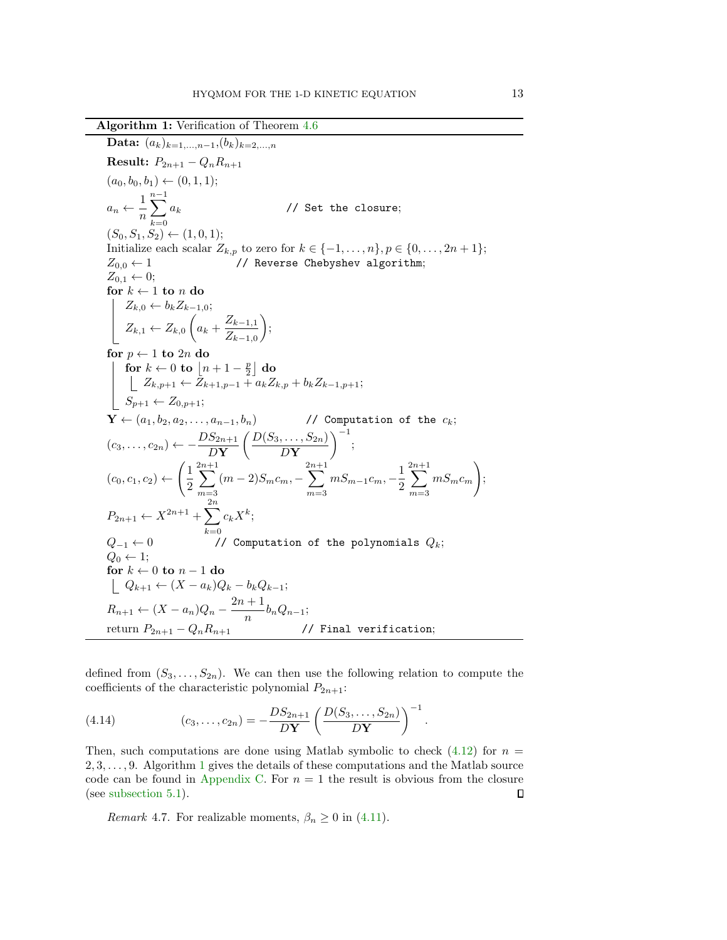Algorithm 1: Verification of Theorem [4.6](#page-11-7)

<span id="page-12-0"></span>Data:  $(a_k)_{k=1,...,n-1}, (b_k)_{k=2,...,n}$ **Result:**  $P_{2n+1} - Q_n R_{n+1}$  $(a_0, b_0, b_1) \leftarrow (0, 1, 1);$  $a_n \leftarrow \frac{1}{n}$ n  $\sum^{n-1}$  $k=0$ // Set the closure;  $(S_0, S_1, S_2) \leftarrow (1, 0, 1);$ Initialize each scalar  $Z_{k,p}$  to zero for  $k \in \{-1,\ldots,n\}, p \in \{0,\ldots,2n+1\};$  $Z_{0.0} \leftarrow 1$  // Reverse Chebyshev algorithm;  $Z_{0,1} \leftarrow 0;$ for  $k \leftarrow 1$  to n do  $Z_{k,0} \leftarrow b_k Z_{k-1,0};$  $Z_{k,1} \leftarrow Z_{k,0} \left( a_k + \frac{Z_{k-1,1}}{Z} \right)$  $Z_{k-1,0}$  $\bigg)$ for  $p \leftarrow 1$  to  $2n$  do for  $k \leftarrow 0$  to  $|n+1-\frac{p}{2}|$  do  $Z_{k,p+1} \leftarrow Z_{k+1,p-1} + a_k Z_{k,p} + b_k Z_{k-1,p+1};$  $\Big| \quad S_{p+1} \leftarrow Z_{0,p+1};$  $\mathbf{Y} \leftarrow (a_1, b_2, a_2, \ldots, a_{n-1}, b_n)$  // Computation of the  $c_k$ ;  $(c_3,\ldots,c_{2n}) \leftarrow -\frac{DS_{2n+1}}{DN}$  $D$ Y  $(D(S_3, \ldots, S_{2n})$  $D\mathbf{Y}$  $\Big)^{-1};$  $(c_0, c_1, c_2) \leftarrow$  $\sqrt{1}$ 2  $\sum^{2n+1}$  $m=3$  $(m-2)S_m c_m$ , –  $\sum^{2n+1}$  $m=3$  $mS_{m-1}c_m, -\frac{1}{2}$ 2  $\sum^{2n+1}$  $m=3$  $mS_mc_m$  $\setminus$ ;  $P_{2n+1} \leftarrow X^{2n+1} + \sum_{n=1}^{2n}$  $k=0$  $c_k X^k;$  $Q_{-1} \leftarrow 0$  // Computation of the polynomials  $Q_k$ ;  $Q_0 \leftarrow 1$ ; for  $k \leftarrow 0$  to  $n-1$  do  $|Q_{k+1} \leftarrow (X - a_k)Q_k - b_kQ_{k-1};$  $R_{n+1} \leftarrow (X - a_n)Q_n - \frac{2n+1}{n}$  $\frac{1}{n}$ b<sub>n</sub>Q<sub>n−1</sub>; return  $P_{2n+1} - Q_n R_{n+1}$  // Final verification;

defined from  $(S_3, \ldots, S_{2n})$ . We can then use the following relation to compute the coefficients of the characteristic polynomial  $P_{2n+1}$ :

.

(4.14) 
$$
(c_3, \ldots, c_{2n}) = -\frac{DS_{2n+1}}{D\mathbf{Y}} \left( \frac{D(S_3, \ldots, S_{2n})}{D\mathbf{Y}} \right)^{-1}
$$

Then, such computations are done using Matlab symbolic to check  $(4.12)$  for  $n =$  $2, 3, \ldots, 9$ . Algorithm [1](#page-12-0) gives the details of these computations and the Matlab source code can be found in [Appendix C.](#page-23-0) For  $n = 1$  the result is obvious from the closure (see [subsection 5.1\)](#page-14-1).  $\Box$ 

*Remark* 4.7. For realizable moments,  $\beta_n \geq 0$  in [\(4.11\)](#page-11-4).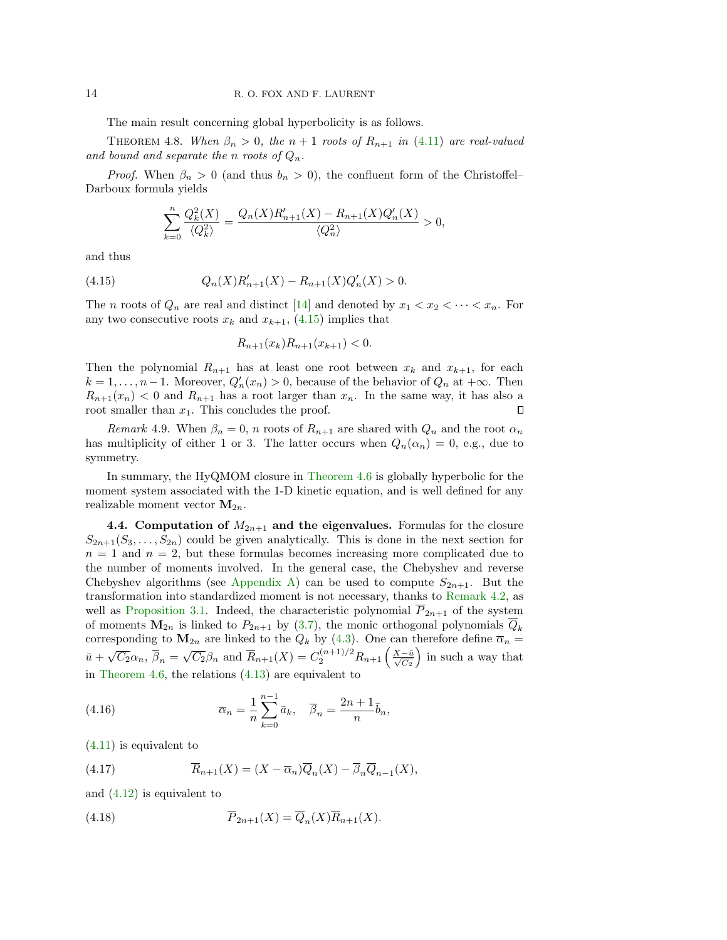The main result concerning global hyperbolicity is as follows.

THEOREM 4.8. When  $\beta_n > 0$ , the  $n+1$  roots of  $R_{n+1}$  in [\(4.11\)](#page-11-4) are real-valued and bound and separate the n roots of  $Q_n$ .

*Proof.* When  $\beta_n > 0$  (and thus  $b_n > 0$ ), the confluent form of the Christoffel– Darboux formula yields

<span id="page-13-1"></span><span id="page-13-0"></span>
$$
\sum_{k=0}^{n} \frac{Q_k^2(X)}{\langle Q_k^2 \rangle} = \frac{Q_n(X)R'_{n+1}(X) - R_{n+1}(X)Q'_n(X)}{\langle Q_n^2 \rangle} > 0,
$$

and thus

(4.15) 
$$
Q_n(X)R'_{n+1}(X) - R_{n+1}(X)Q'_n(X) > 0.
$$

The *n* roots of  $Q_n$  are real and distinct [\[14\]](#page-27-10) and denoted by  $x_1 < x_2 < \cdots < x_n$ . For any two consecutive roots  $x_k$  and  $x_{k+1}$ , [\(4.15\)](#page-13-0) implies that

$$
R_{n+1}(x_k)R_{n+1}(x_{k+1}) < 0.
$$

Then the polynomial  $R_{n+1}$  has at least one root between  $x_k$  and  $x_{k+1}$ , for each  $k = 1, \ldots, n-1$ . Moreover,  $Q'_n(x_n) > 0$ , because of the behavior of  $Q_n$  at  $+\infty$ . Then  $R_{n+1}(x_n) < 0$  and  $R_{n+1}$  has a root larger than  $x_n$ . In the same way, it has also a root smaller than  $x_1$ . This concludes the proof.  $\Box$ 

*Remark* 4.9. When  $\beta_n = 0$ , *n* roots of  $R_{n+1}$  are shared with  $Q_n$  and the root  $\alpha_n$ has multiplicity of either 1 or 3. The latter occurs when  $Q_n(\alpha_n) = 0$ , e.g., due to symmetry.

In summary, the HyQMOM closure in [Theorem 4.6](#page-11-7) is globally hyperbolic for the moment system associated with the 1-D kinetic equation, and is well defined for any realizable moment vector  $M_{2n}$ .

**4.4. Computation of**  $M_{2n+1}$  and the eigenvalues. Formulas for the closure  $S_{2n+1}(S_3,\ldots,S_{2n})$  could be given analytically. This is done in the next section for  $n = 1$  and  $n = 2$ , but these formulas becomes increasing more complicated due to the number of moments involved. In the general case, the Chebyshev and reverse Chebyshev algorithms (see [Appendix A\)](#page-20-0) can be used to compute  $S_{2n+1}$ . But the transformation into standardized moment is not necessary, thanks to [Remark 4.2,](#page-9-3) as well as [Proposition 3.1.](#page-5-3) Indeed, the characteristic polynomial  $P_{2n+1}$  of the system of moments  $M_{2n}$  is linked to  $P_{2n+1}$  by [\(3.7\)](#page-5-4), the monic orthogonal polynomials  $\overline{Q}_k$ corresponding to  $M_{2n}$  are linked to the  $Q_k$  by [\(4.3\)](#page-9-4). One can therefore define  $\overline{\alpha}_n =$  $\bar{u} + \sqrt{C_2}\alpha_n$ ,  $\bar{\beta}_n = \sqrt{C_2}\beta_n$  and  $\bar{R}_{n+1}(X) = C_2^{(n+1)/2}R_{n+1}\left(\frac{X-\bar{u}}{\sqrt{C_2}}\right)$  in such a way that in [Theorem 4.6,](#page-11-7) the relations [\(4.13\)](#page-11-6) are equivalent to

(4.16) 
$$
\overline{\alpha}_n = \frac{1}{n} \sum_{k=0}^{n-1} \overline{a}_k, \quad \overline{\beta}_n = \frac{2n+1}{n} \overline{b}_n,
$$

[\(4.11\)](#page-11-4) is equivalent to

(4.17) 
$$
\overline{R}_{n+1}(X) = (X - \overline{\alpha}_n)\overline{Q}_n(X) - \overline{\beta}_n\overline{Q}_{n-1}(X),
$$

and [\(4.12\)](#page-11-5) is equivalent to

(4.18) 
$$
\overline{P}_{2n+1}(X) = \overline{Q}_n(X)\overline{R}_{n+1}(X).
$$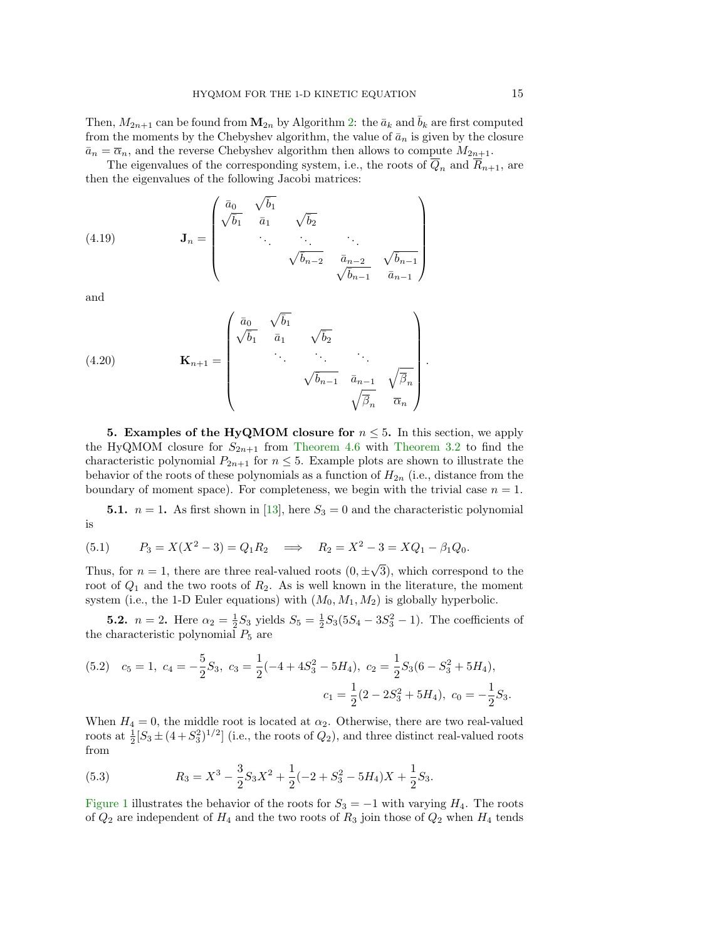Then,  $M_{2n+1}$  can be found from  $\mathbf{M}_{2n}$  by Algorithm [2:](#page-15-0) the  $\bar{a}_k$  and  $\bar{b}_k$  are first computed from the moments by the Chebyshev algorithm, the value of  $\bar{a}_n$  is given by the closure  $\bar{a}_n = \bar{\alpha}_n$ , and the reverse Chebyshev algorithm then allows to compute  $M_{2n+1}$ .

The eigenvalues of the corresponding system, i.e., the roots of  $Q_n$  and  $R_{n+1}$ , are then the eigenvalues of the following Jacobi matrices:

<span id="page-14-3"></span>(4.19) 
$$
\mathbf{J}_n = \begin{pmatrix} \bar{a}_0 & \sqrt{\bar{b}_1} & & \\ \sqrt{\bar{b}_1} & \bar{a}_1 & \sqrt{\bar{b}_2} & \\ & \ddots & \ddots & \ddots \\ & & \sqrt{\bar{b}_{n-2}} & \bar{a}_{n-2} & \sqrt{\bar{b}_{n-1}} \\ & & & \sqrt{\bar{b}_{n-1}} & \bar{a}_{n-1} \end{pmatrix}
$$

and

<span id="page-14-2"></span>(4.20) 
$$
\mathbf{K}_{n+1} = \begin{pmatrix} \bar{a}_0 & \sqrt{\bar{b}_1} & & \\ \sqrt{\bar{b}_1} & \bar{a}_1 & \sqrt{\bar{b}_2} & \\ & \ddots & \ddots & \ddots \\ & & \sqrt{\bar{b}_{n-1}} & \bar{a}_{n-1} & \sqrt{\bar{\beta}_n} \\ & & & \sqrt{\bar{\beta}_n} & \bar{\alpha}_n \end{pmatrix}.
$$

<span id="page-14-0"></span>5. Examples of the HyQMOM closure for  $n \leq 5$ . In this section, we apply the HyQMOM closure for  $S_{2n+1}$  from [Theorem 4.6](#page-11-7) with [Theorem 3.2](#page-7-1) to find the characteristic polynomial  $P_{2n+1}$  for  $n \leq 5$ . Example plots are shown to illustrate the behavior of the roots of these polynomials as a function of  $H_{2n}$  (i.e., distance from the boundary of moment space). For completeness, we begin with the trivial case  $n = 1$ .

<span id="page-14-1"></span>**5.1.**  $n = 1$ . As first shown in [\[13\]](#page-27-24), here  $S_3 = 0$  and the characteristic polynomial is

(5.1) 
$$
P_3 = X(X^2 - 3) = Q_1 R_2 \implies R_2 = X^2 - 3 = XQ_1 - \beta_1 Q_0.
$$

Thus, for  $n = 1$ , there are three real-valued roots  $(0, \pm)$ 3), which correspond to the root of  $Q_1$  and the two roots of  $R_2$ . As is well known in the literature, the moment system (i.e., the 1-D Euler equations) with  $(M_0, M_1, M_2)$  is globally hyperbolic.

**5.2.**  $n = 2$ . Here  $\alpha_2 = \frac{1}{2}S_3$  yields  $S_5 = \frac{1}{2}S_3(5S_4 - 3S_3^2 - 1)$ . The coefficients of the characteristic polynomial  $P_5$  are

(5.2) 
$$
c_5 = 1
$$
,  $c_4 = -\frac{5}{2}S_3$ ,  $c_3 = \frac{1}{2}(-4 + 4S_3^2 - 5H_4)$ ,  $c_2 = \frac{1}{2}S_3(6 - S_3^2 + 5H_4)$ ,  
 $c_1 = \frac{1}{2}(2 - 2S_3^2 + 5H_4)$ ,  $c_0 = -\frac{1}{2}S_3$ .

When  $H_4 = 0$ , the middle root is located at  $\alpha_2$ . Otherwise, there are two real-valued roots at  $\frac{1}{2}[S_3 \pm (4+S_3^2)^{1/2}]$  (i.e., the roots of  $Q_2$ ), and three distinct real-valued roots from

(5.3) 
$$
R_3 = X^3 - \frac{3}{2}S_3X^2 + \frac{1}{2}(-2 + S_3^2 - 5H_4)X + \frac{1}{2}S_3.
$$

[Figure 1](#page-16-1) illustrates the behavior of the roots for  $S_3 = -1$  with varying  $H_4$ . The roots of  $Q_2$  are independent of  $H_4$  and the two roots of  $R_3$  join those of  $Q_2$  when  $H_4$  tends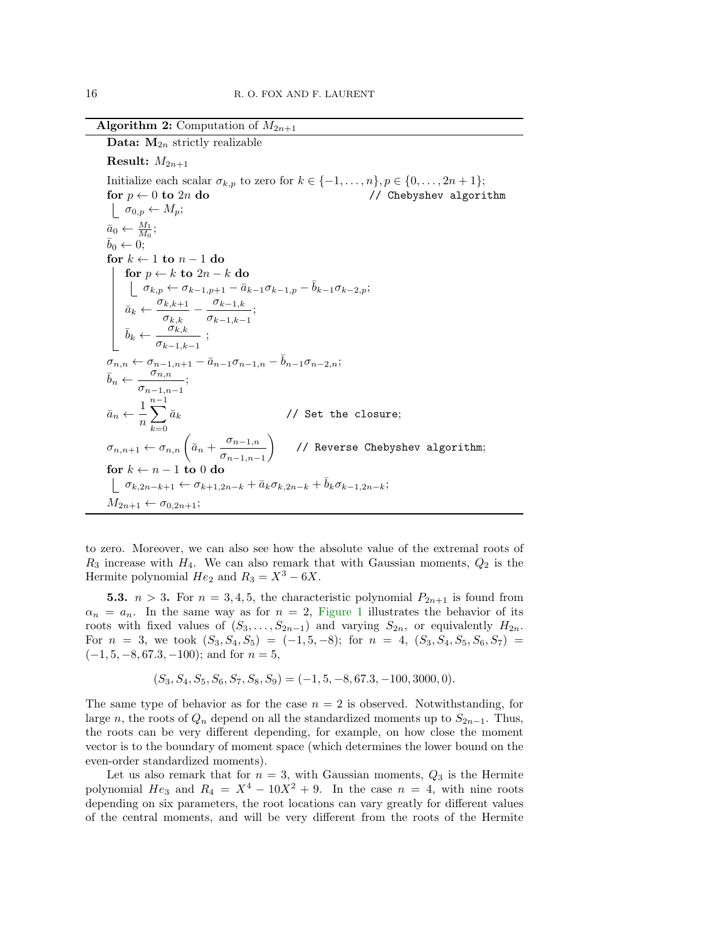Algorithm 2: Computation of  $M_{2n+1}$ 

<span id="page-15-0"></span>**Data:**  $M_{2n}$  strictly realizable Result:  $M_{2n+1}$ Initialize each scalar  $\sigma_{k,p}$  to zero for  $k \in \{-1, \ldots, n\}, p \in \{0, \ldots, 2n+1\};$ for  $p \leftarrow 0$  to  $2n$  do  $\left| / \right|$  Chebyshev algorithm  $\mid \sigma_{0,p} \leftarrow M_p;$  $\bar{a}_0 \leftarrow \frac{M_1}{M_0};$  $\bar{b}_0 \leftarrow 0;$ for  $k \leftarrow 1$  to  $n - 1$  do for  $p \leftarrow k$  to  $2n - k$  do  $\sigma_{k,p} \leftarrow \sigma_{k-1,p+1} - \bar{a}_{k-1}\sigma_{k-1,p} - \bar{b}_{k-1}\sigma_{k-2,p};$  $\bar{a}_k \leftarrow \frac{\sigma_{k,k+1}}{2}$  $\frac{\sigma_{k,k+1}}{\sigma_{k,k}} - \frac{\sigma_{k-1,k}}{\sigma_{k-1,k-1}}$  $\frac{\sigma_{k-1,k}}{\sigma_{k-1,k-1}}$ ;  $\bar{b}_k \leftarrow \frac{\sigma_{k,k}}{2}$  $\frac{\sigma_{k,k}}{\sigma_{k-1,k-1}}$ ;  $\sigma_{n,n} \leftarrow \sigma_{n-1,n+1} - \bar{a}_{n-1} \sigma_{n-1,n} - \bar{b}_{n-1} \sigma_{n-2,n};$  $\overline{b}_n \leftarrow \frac{\sigma_{n,n}}{n}$  $\frac{\sigma_{n,n}}{\sigma_{n-1,n-1}};$  $\bar{a}_n \leftarrow \frac{1}{a}$ n  $\sum^{n-1}$  $k=0$ // Set the closure;  $\sigma_{n,n+1} \leftarrow \sigma_{n,n} \left( \bar{a}_n + \frac{\sigma_{n-1,n}}{\sigma} \right)$  $\sigma_{n-1,n-1}$  // Reverse Chebyshev algorithm; for  $k \leftarrow n - 1$  to 0 do  $\begin{array}{c} \n\mid \ \sigma_{k,2n-k+1} \leftarrow \sigma_{k+1,2n-k} + \bar{a}_k \sigma_{k,2n-k} + \bar{b}_k \sigma_{k-1,2n-k};\n\end{array}$  $M_{2n+1} \leftarrow \sigma_{0,2n+1};$ 

to zero. Moreover, we can also see how the absolute value of the extremal roots of  $R_3$  increase with  $H_4$ . We can also remark that with Gaussian moments,  $Q_2$  is the Hermite polynomial  $He_2$  and  $R_3 = X^3 - 6X$ .

**5.3.**  $n > 3$ . For  $n = 3, 4, 5$ , the characteristic polynomial  $P_{2n+1}$  is found from  $\alpha_n = a_n$ . In the same way as for  $n = 2$ , [Figure 1](#page-16-1) illustrates the behavior of its roots with fixed values of  $(S_3, \ldots, S_{2n-1})$  and varying  $S_{2n}$ , or equivalently  $H_{2n}$ . For  $n = 3$ , we took  $(S_3, S_4, S_5) = (-1, 5, -8)$ ; for  $n = 4$ ,  $(S_3, S_4, S_5, S_6, S_7)$  $(-1, 5, -8, 67.3, -100)$ ; and for  $n = 5$ ,

$$
(S_3, S_4, S_5, S_6, S_7, S_8, S_9) = (-1, 5, -8, 67.3, -100, 3000, 0).
$$

The same type of behavior as for the case  $n = 2$  is observed. Notwithstanding, for large n, the roots of  $Q_n$  depend on all the standardized moments up to  $S_{2n-1}$ . Thus, the roots can be very different depending, for example, on how close the moment vector is to the boundary of moment space (which determines the lower bound on the even-order standardized moments).

Let us also remark that for  $n = 3$ , with Gaussian moments,  $Q_3$  is the Hermite polynomial  $He_3$  and  $R_4 = X^4 - 10X^2 + 9$ . In the case  $n = 4$ , with nine roots depending on six parameters, the root locations can vary greatly for different values of the central moments, and will be very different from the roots of the Hermite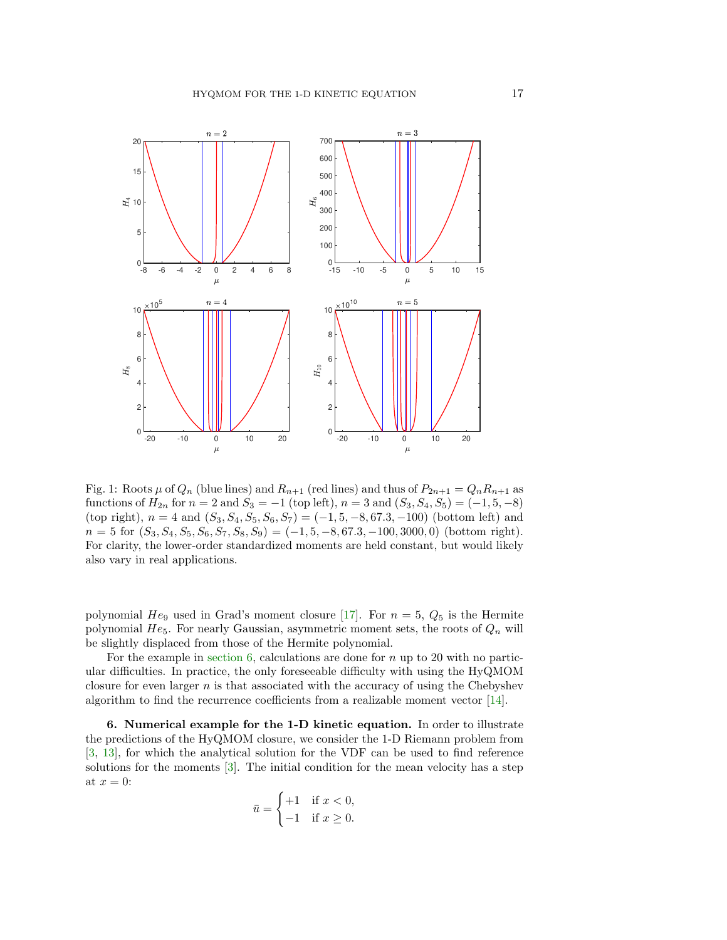<span id="page-16-1"></span>

Fig. 1: Roots  $\mu$  of  $Q_n$  (blue lines) and  $R_{n+1}$  (red lines) and thus of  $P_{2n+1} = Q_n R_{n+1}$  as functions of  $H_{2n}$  for  $n = 2$  and  $S_3 = -1$  (top left),  $n = 3$  and  $(S_3, S_4, S_5) = (-1, 5, -8)$ (top right),  $n = 4$  and  $(S_3, S_4, S_5, S_6, S_7) = (-1, 5, -8, 67.3, -100)$  (bottom left) and  $n = 5$  for  $(S_3, S_4, S_5, S_6, S_7, S_8, S_9) = (-1, 5, -8, 67.3, -100, 3000, 0)$  (bottom right). For clarity, the lower-order standardized moments are held constant, but would likely also vary in real applications.

polynomial  $He_9$  used in Grad's moment closure [\[17\]](#page-27-0). For  $n = 5$ ,  $Q_5$  is the Hermite polynomial  $He_5$ . For nearly Gaussian, asymmetric moment sets, the roots of  $Q_n$  will be slightly displaced from those of the Hermite polynomial.

For the example in [section 6,](#page-16-0) calculations are done for  $n$  up to 20 with no particular difficulties. In practice, the only foreseeable difficulty with using the HyQMOM closure for even larger  $n$  is that associated with the accuracy of using the Chebyshev algorithm to find the recurrence coefficients from a realizable moment vector [\[14\]](#page-27-10).

<span id="page-16-0"></span>6. Numerical example for the 1-D kinetic equation. In order to illustrate the predictions of the HyQMOM closure, we consider the 1-D Riemann problem from [\[3,](#page-27-23) [13\]](#page-27-24), for which the analytical solution for the VDF can be used to find reference solutions for the moments [\[3\]](#page-27-23). The initial condition for the mean velocity has a step at  $x = 0$ :

$$
\bar{u} = \begin{cases} +1 & \text{if } x < 0, \\ -1 & \text{if } x \ge 0. \end{cases}
$$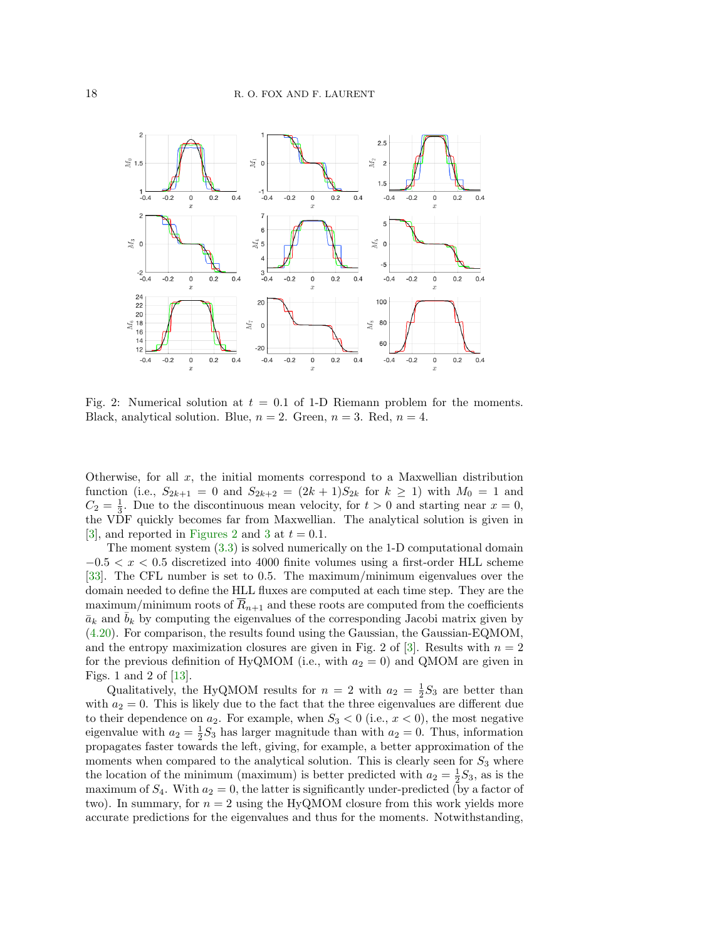<span id="page-17-0"></span>

Fig. 2: Numerical solution at  $t = 0.1$  of 1-D Riemann problem for the moments. Black, analytical solution. Blue,  $n = 2$ . Green,  $n = 3$ . Red,  $n = 4$ .

Otherwise, for all  $x$ , the initial moments correspond to a Maxwellian distribution function (i.e.,  $S_{2k+1} = 0$  and  $S_{2k+2} = (2k+1)S_{2k}$  for  $k \ge 1$ ) with  $M_0 = 1$  and  $C_2 = \frac{1}{3}$ . Due to the discontinuous mean velocity, for  $t > 0$  and starting near  $x = 0$ , the VDF quickly becomes far from Maxwellian. The analytical solution is given in [\[3\]](#page-27-23), and reported in [Figures 2](#page-17-0) and [3](#page-18-0) at  $t = 0.1$ .

The moment system [\(3.3\)](#page-5-0) is solved numerically on the 1-D computational domain  $-0.5 < x < 0.5$  discretized into 4000 finite volumes using a first-order HLL scheme [\[33\]](#page-28-5). The CFL number is set to 0.5. The maximum/minimum eigenvalues over the domain needed to define the HLL fluxes are computed at each time step. They are the maximum/minimum roots of  $R_{n+1}$  and these roots are computed from the coefficients  $\bar{a}_k$  and  $b_k$  by computing the eigenvalues of the corresponding Jacobi matrix given by [\(4.20\)](#page-14-2). For comparison, the results found using the Gaussian, the Gaussian-EQMOM, and the entropy maximization closures are given in Fig. 2 of [\[3\]](#page-27-23). Results with  $n = 2$ for the previous definition of HyQMOM (i.e., with  $a_2 = 0$ ) and QMOM are given in Figs. 1 and 2 of  $[13]$ .

Qualitatively, the HyQMOM results for  $n = 2$  with  $a_2 = \frac{1}{2}S_3$  are better than with  $a_2 = 0$ . This is likely due to the fact that the three eigenvalues are different due to their dependence on  $a_2$ . For example, when  $S_3 < 0$  (i.e.,  $x < 0$ ), the most negative eigenvalue with  $a_2 = \frac{1}{2}S_3$  has larger magnitude than with  $a_2 = 0$ . Thus, information propagates faster towards the left, giving, for example, a better approximation of the moments when compared to the analytical solution. This is clearly seen for  $S_3$  where the location of the minimum (maximum) is better predicted with  $a_2 = \frac{1}{2}S_3$ , as is the maximum of  $S_4$ . With  $a_2 = 0$ , the latter is significantly under-predicted (by a factor of two). In summary, for  $n = 2$  using the HyQMOM closure from this work yields more accurate predictions for the eigenvalues and thus for the moments. Notwithstanding,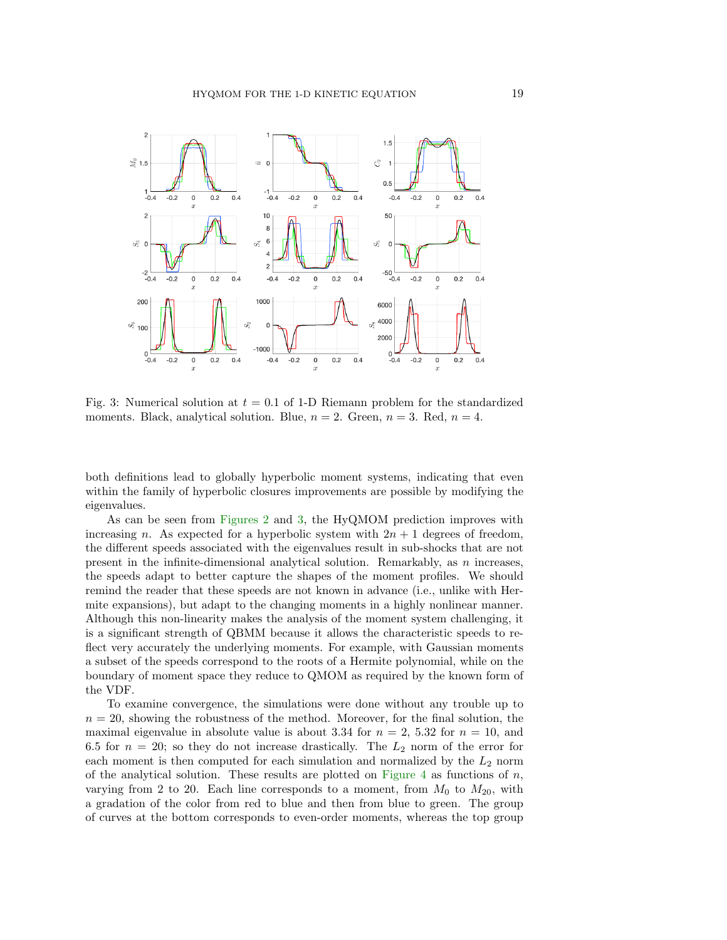<span id="page-18-0"></span>

Fig. 3: Numerical solution at  $t = 0.1$  of 1-D Riemann problem for the standardized moments. Black, analytical solution. Blue,  $n = 2$ . Green,  $n = 3$ . Red,  $n = 4$ .

both definitions lead to globally hyperbolic moment systems, indicating that even within the family of hyperbolic closures improvements are possible by modifying the eigenvalues.

As can be seen from [Figures 2](#page-17-0) and [3,](#page-18-0) the HyQMOM prediction improves with increasing n. As expected for a hyperbolic system with  $2n + 1$  degrees of freedom, the different speeds associated with the eigenvalues result in sub-shocks that are not present in the infinite-dimensional analytical solution. Remarkably, as  $n$  increases, the speeds adapt to better capture the shapes of the moment profiles. We should remind the reader that these speeds are not known in advance (i.e., unlike with Hermite expansions), but adapt to the changing moments in a highly nonlinear manner. Although this non-linearity makes the analysis of the moment system challenging, it is a significant strength of QBMM because it allows the characteristic speeds to reflect very accurately the underlying moments. For example, with Gaussian moments a subset of the speeds correspond to the roots of a Hermite polynomial, while on the boundary of moment space they reduce to QMOM as required by the known form of the VDF.

To examine convergence, the simulations were done without any trouble up to  $n = 20$ , showing the robustness of the method. Moreover, for the final solution, the maximal eigenvalue in absolute value is about 3.34 for  $n = 2$ , 5.32 for  $n = 10$ , and 6.5 for  $n = 20$ ; so they do not increase drastically. The  $L_2$  norm of the error for each moment is then computed for each simulation and normalized by the  $L_2$  norm of the analytical solution. These results are plotted on [Figure 4](#page-19-1) as functions of  $n$ , varying from 2 to 20. Each line corresponds to a moment, from  $M_0$  to  $M_{20}$ , with a gradation of the color from red to blue and then from blue to green. The group of curves at the bottom corresponds to even-order moments, whereas the top group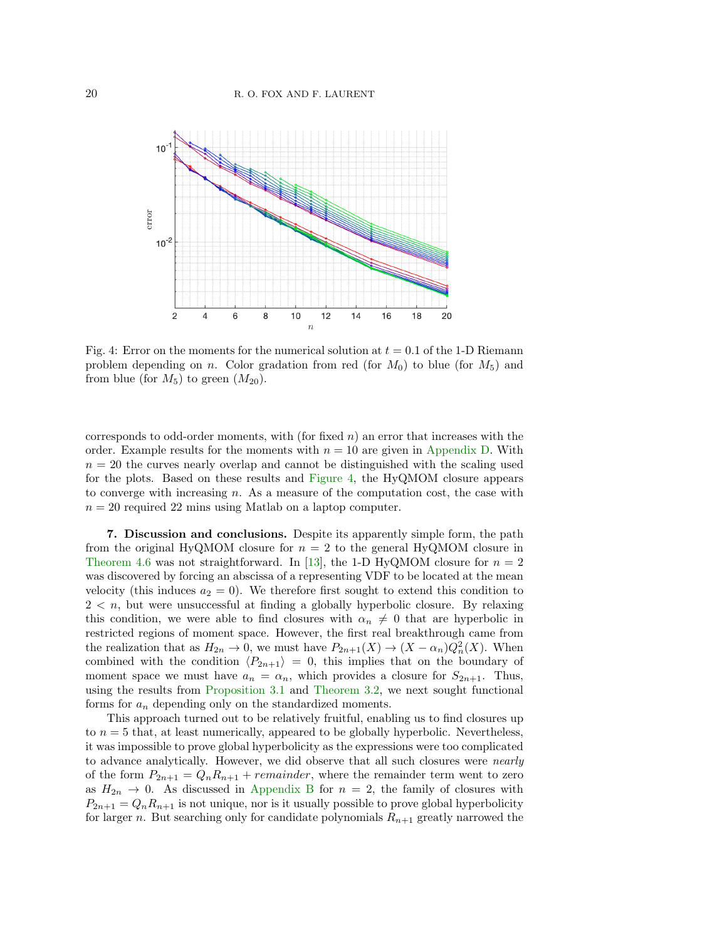<span id="page-19-1"></span>

Fig. 4: Error on the moments for the numerical solution at  $t = 0.1$  of the 1-D Riemann problem depending on n. Color gradation from red (for  $M_0$ ) to blue (for  $M_5$ ) and from blue (for  $M_5$ ) to green  $(M_{20})$ .

corresponds to odd-order moments, with (for fixed  $n$ ) an error that increases with the order. Example results for the moments with  $n = 10$  are given in [Appendix D.](#page-25-0) With  $n = 20$  the curves nearly overlap and cannot be distinguished with the scaling used for the plots. Based on these results and [Figure 4,](#page-19-1) the HyQMOM closure appears to converge with increasing  $n$ . As a measure of the computation cost, the case with  $n = 20$  required 22 mins using Matlab on a laptop computer.

<span id="page-19-0"></span>7. Discussion and conclusions. Despite its apparently simple form, the path from the original HyQMOM closure for  $n = 2$  to the general HyQMOM closure in [Theorem 4.6](#page-11-7) was not straightforward. In [\[13\]](#page-27-24), the 1-D HyQMOM closure for  $n = 2$ was discovered by forcing an abscissa of a representing VDF to be located at the mean velocity (this induces  $a_2 = 0$ ). We therefore first sought to extend this condition to  $2 < n$ , but were unsuccessful at finding a globally hyperbolic closure. By relaxing this condition, we were able to find closures with  $\alpha_n \neq 0$  that are hyperbolic in restricted regions of moment space. However, the first real breakthrough came from the realization that as  $H_{2n} \to 0$ , we must have  $P_{2n+1}(X) \to (X - \alpha_n)Q_n^2(X)$ . When combined with the condition  $\langle P_{2n+1} \rangle = 0$ , this implies that on the boundary of moment space we must have  $a_n = \alpha_n$ , which provides a closure for  $S_{2n+1}$ . Thus, using the results from [Proposition 3.1](#page-5-3) and [Theorem 3.2,](#page-7-1) we next sought functional forms for  $a_n$  depending only on the standardized moments.

This approach turned out to be relatively fruitful, enabling us to find closures up to  $n = 5$  that, at least numerically, appeared to be globally hyperbolic. Nevertheless, it was impossible to prove global hyperbolicity as the expressions were too complicated to advance analytically. However, we did observe that all such closures were nearly of the form  $P_{2n+1} = Q_n R_{n+1} + remainder$ , where the remainder term went to zero as  $H_{2n} \to 0$ . As discussed in [Appendix B](#page-21-0) for  $n = 2$ , the family of closures with  $P_{2n+1} = Q_n R_{n+1}$  is not unique, nor is it usually possible to prove global hyperbolicity for larger n. But searching only for candidate polynomials  $R_{n+1}$  greatly narrowed the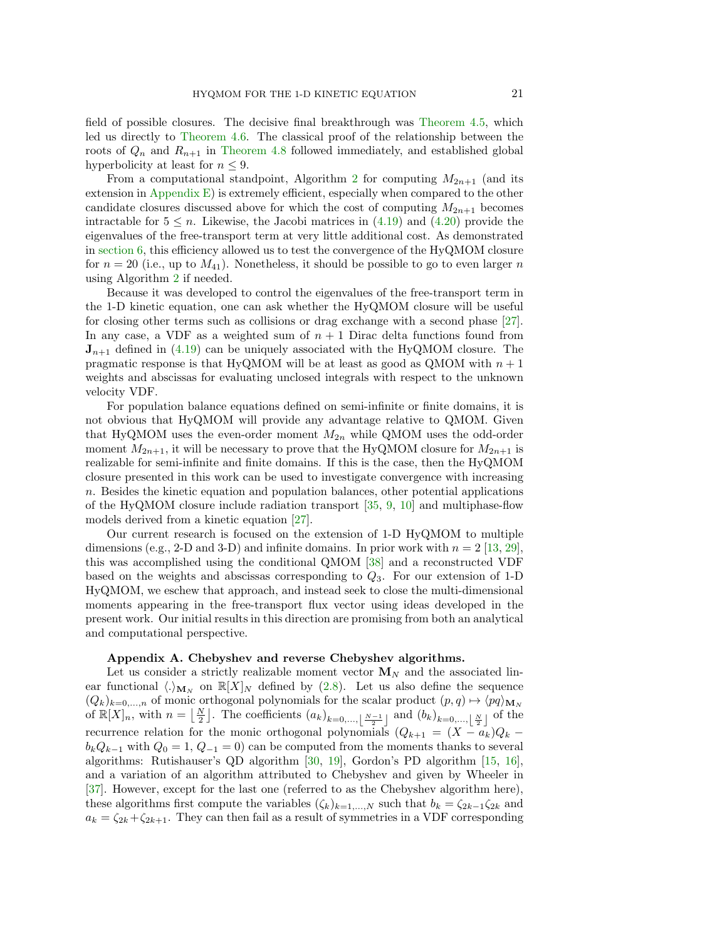field of possible closures. The decisive final breakthrough was [Theorem 4.5,](#page-10-1) which led us directly to [Theorem 4.6.](#page-11-7) The classical proof of the relationship between the roots of  $Q_n$  and  $R_{n+1}$  in [Theorem 4.8](#page-13-1) followed immediately, and established global hyperbolicity at least for  $n \leq 9$ .

From a computational standpoint, Algorithm [2](#page-15-0) for computing  $M_{2n+1}$  (and its extension in [Appendix E\)](#page-25-1) is extremely efficient, especially when compared to the other candidate closures discussed above for which the cost of computing  $M_{2n+1}$  becomes intractable for  $5 \leq n$ . Likewise, the Jacobi matrices in [\(4.19\)](#page-14-3) and [\(4.20\)](#page-14-2) provide the eigenvalues of the free-transport term at very little additional cost. As demonstrated in [section 6,](#page-16-0) this efficiency allowed us to test the convergence of the HyQMOM closure for  $n = 20$  (i.e., up to  $M_{41}$ ). Nonetheless, it should be possible to go to even larger n using Algorithm [2](#page-15-0) if needed.

Because it was developed to control the eigenvalues of the free-transport term in the 1-D kinetic equation, one can ask whether the HyQMOM closure will be useful for closing other terms such as collisions or drag exchange with a second phase [\[27\]](#page-27-22). In any case, a VDF as a weighted sum of  $n + 1$  Dirac delta functions found from  $J_{n+1}$  defined in [\(4.19\)](#page-14-3) can be uniquely associated with the HyQMOM closure. The pragmatic response is that HyQMOM will be at least as good as QMOM with  $n + 1$ weights and abscissas for evaluating unclosed integrals with respect to the unknown velocity VDF.

For population balance equations defined on semi-infinite or finite domains, it is not obvious that HyQMOM will provide any advantage relative to QMOM. Given that HyQMOM uses the even-order moment  $M_{2n}$  while QMOM uses the odd-order moment  $M_{2n+1}$ , it will be necessary to prove that the HyQMOM closure for  $M_{2n+1}$  is realizable for semi-infinite and finite domains. If this is the case, then the HyQMOM closure presented in this work can be used to investigate convergence with increasing n. Besides the kinetic equation and population balances, other potential applications of the HyQMOM closure include radiation transport [\[35,](#page-28-6) [9,](#page-27-7) [10\]](#page-27-8) and multiphase-flow models derived from a kinetic equation [\[27\]](#page-27-22).

Our current research is focused on the extension of 1-D HyQMOM to multiple dimensions (e.g., 2-D and 3-D) and infinite domains. In prior work with  $n = 2$  [\[13,](#page-27-24) [29\]](#page-28-7), this was accomplished using the conditional QMOM [\[38\]](#page-28-8) and a reconstructed VDF based on the weights and abscissas corresponding to  $Q_3$ . For our extension of 1-D HyQMOM, we eschew that approach, and instead seek to close the multi-dimensional moments appearing in the free-transport flux vector using ideas developed in the present work. Our initial results in this direction are promising from both an analytical and computational perspective.

#### <span id="page-20-0"></span>Appendix A. Chebyshev and reverse Chebyshev algorithms.

Let us consider a strictly realizable moment vector  $\mathbf{M}_N$  and the associated linear functional  $\langle \cdot \rangle_{\mathbf{M}_N}$  on  $\mathbb{R}[X]_N$  defined by [\(2.8\)](#page-4-4). Let us also define the sequence  $(Q_k)_{k=0,\dots,n}$  of monic orthogonal polynomials for the scalar product  $(p,q) \mapsto \langle pq \rangle_{\mathbf{M}_N}$ of  $\mathbb{R}[X]_n$ , with  $n = \lfloor \frac{N}{2} \rfloor$ . The coefficients  $(a_k)_{k=0,\ldots,\lfloor \frac{N-1}{2} \rfloor}$  and  $(b_k)_{k=0,\ldots,\lfloor \frac{N}{2} \rfloor}$  of the recurrence relation for the monic orthogonal polynomials  $(Q_{k+1} = (X - a_k)Q_k$  $b_kQ_{k-1}$  with  $Q_0 = 1, Q_{-1} = 0$  can be computed from the moments thanks to several algorithms: Rutishauser's QD algorithm [\[30,](#page-28-9) [19\]](#page-27-25), Gordon's PD algorithm [\[15,](#page-27-26) [16\]](#page-27-27), and a variation of an algorithm attributed to Chebyshev and given by Wheeler in [\[37\]](#page-28-1). However, except for the last one (referred to as the Chebyshev algorithm here), these algorithms first compute the variables  $(\zeta_k)_{k=1,\dots,N}$  such that  $b_k = \zeta_{2k-1}\zeta_{2k}$  and  $a_k = \zeta_{2k} + \zeta_{2k+1}$ . They can then fail as a result of symmetries in a VDF corresponding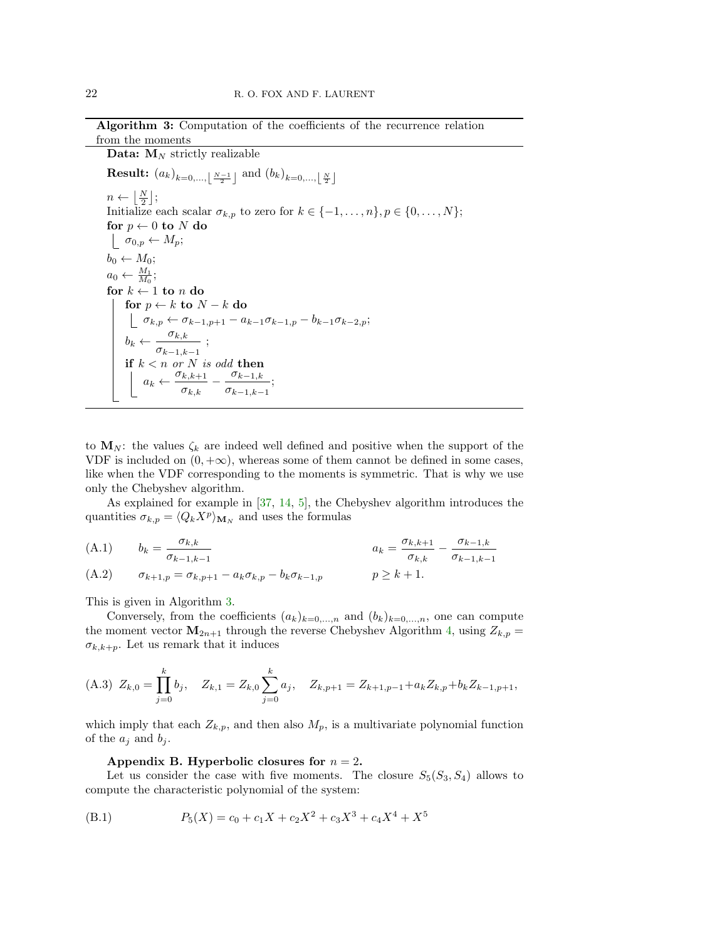Algorithm 3: Computation of the coefficients of the recurrence relation from the moments

<span id="page-21-1"></span>Data:  $M_N$  strictly realizable

 $\textbf{Result:} \; \left( a_k \right)_{k=0,..., \left \lfloor \frac{N-1}{2} \right \rfloor} \; \text{and} \; \left( b_k \right)_{k=0,..., \left \lfloor \frac{N}{2} \right \rfloor}$  $n \leftarrow \left\lfloor \frac{N}{2} \right\rfloor;$ Initialize each scalar  $\sigma_{k,p}$  to zero for  $k \in \{-1, \ldots, n\}, p \in \{0, \ldots, N\};$ for  $p \leftarrow 0$  to N do  $\sigma_{0,p} \leftarrow M_p;$  $b_0 \leftarrow M_0;$  $a_0 \leftarrow \frac{M_1}{M_0};$ for  $k \leftarrow 1$  to n do for  $p \leftarrow k$  to  $N - k$  do  $\sigma_{k,p} \leftarrow \sigma_{k-1,p+1} - a_{k-1}\sigma_{k-1,p} - b_{k-1}\sigma_{k-2,p};$  $b_k \leftarrow \frac{\sigma_{k,k}}{\sigma_{k-1,k-1}}$  $\frac{\sigma_{k,k}}{\sigma_{k,k}}$ ; if  $k < n$  or N is odd then  $a_k \leftarrow \frac{\sigma_{k,k+1}}{2}$  $\frac{\sigma_{k,k+1}}{\sigma_{k,k}} - \frac{\sigma_{k-1,k}}{\sigma_{k-1,k-1}}$  $\frac{\sigma_{k-1,k}}{\sigma_{k-1,k-1}}$ ;

to  $M_N$ : the values  $\zeta_k$  are indeed well defined and positive when the support of the VDF is included on  $(0, +\infty)$ , whereas some of them cannot be defined in some cases, like when the VDF corresponding to the moments is symmetric. That is why we use only the Chebyshev algorithm.

As explained for example in [\[37,](#page-28-1) [14,](#page-27-10) [5\]](#page-27-11), the Chebyshev algorithm introduces the quantities  $\sigma_{k,p} = \langle Q_k X^p \rangle_{\mathbf{M}_N}$  and uses the formulas

(A.1) 
$$
b_k = \frac{\sigma_{k,k}}{\sigma_{k-1,k-1}} \qquad a_k = \frac{\sigma_{k,k+1}}{\sigma_{k,k}} - \frac{\sigma_{k-1,k}}{\sigma_{k-1,k-1}}
$$
  
(A.2) 
$$
\sigma_{k+1,p} = \sigma_{k,p+1} - a_k \sigma_{k,p} - b_k \sigma_{k-1,p} \qquad p \ge k+1.
$$

This is given in Algorithm [3.](#page-21-1)

Conversely, from the coefficients  $(a_k)_{k=0,\dots,n}$  and  $(b_k)_{k=0,\dots,n}$ , one can compute the moment vector  $\mathbf{M}_{2n+1}$  through the reverse Chebyshev Algorithm [4,](#page-22-0) using  $Z_{k,p} =$  $\sigma_{k,k+p}$ . Let us remark that it induces

$$
\text{(A.3)}\ \ Z_{k,0} = \prod_{j=0}^k b_j, \quad Z_{k,1} = Z_{k,0} \sum_{j=0}^k a_j, \quad Z_{k,p+1} = Z_{k+1,p-1} + a_k Z_{k,p} + b_k Z_{k-1,p+1},
$$

which imply that each  $Z_{k,p}$ , and then also  $M_p$ , is a multivariate polynomial function of the  $a_i$  and  $b_i$ .

<span id="page-21-0"></span>Appendix B. Hyperbolic closures for  $n = 2$ .

Let us consider the case with five moments. The closure  $S_5(S_3, S_4)$  allows to compute the characteristic polynomial of the system:

(B.1) 
$$
P_5(X) = c_0 + c_1 X + c_2 X^2 + c_3 X^3 + c_4 X^4 + X^5
$$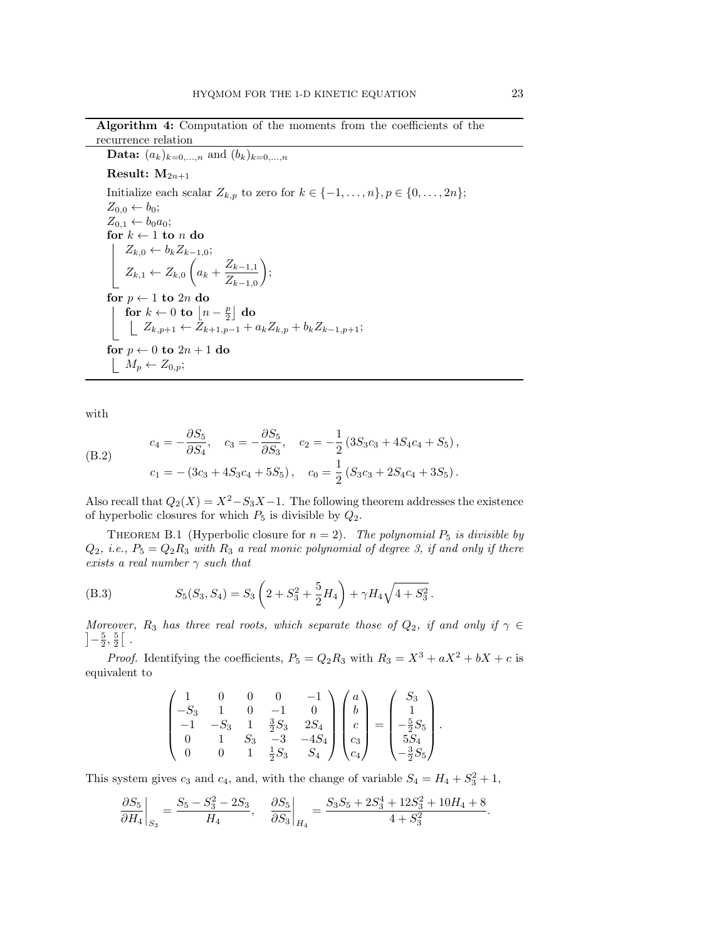Algorithm 4: Computation of the moments from the coefficients of the recurrence relation

<span id="page-22-0"></span>**Data:**  $(a_k)_{k=0,...,n}$  and  $(b_k)_{k=0,...,n}$ 

Result:  $M_{2n+1}$ 

Initialize each scalar  $Z_{k,p}$  to zero for  $k \in \{-1, \ldots, n\}, p \in \{0, \ldots, 2n\};$  $Z_{0,0} \leftarrow b_0;$  $Z_{0,1} \leftarrow b_0 a_0;$ for  $k \leftarrow 1$  to n do  $Z_{k,0} \leftarrow b_k Z_{k-1,0};$  $Z_{k,1} \leftarrow Z_{k,0} \left( a_k + \frac{Z_{k-1,1}}{Z} \right)$  $Z_{k-1,0}$  $\bigg),$ for  $p \leftarrow 1$  to  $2n$  do for  $k \leftarrow 0$  to  $\left\lfloor n - \frac{p}{2} \right\rfloor$  do  $Z_{k,p+1} \leftarrow Z_{k+1,p-1} + a_k Z_{k,p} + b_k Z_{k-1,p+1};$ for  $p \leftarrow 0$  to  $2n + 1$  do  $\mid M_p \leftarrow Z_{0,p};$ 

with

(B.2) 
$$
c_4 = -\frac{\partial S_5}{\partial S_4}, \quad c_3 = -\frac{\partial S_5}{\partial S_3}, \quad c_2 = -\frac{1}{2} (3S_3c_3 + 4S_4c_4 + S_5),
$$

$$
c_1 = -(3c_3 + 4S_3c_4 + 5S_5), \quad c_0 = \frac{1}{2} (S_3c_3 + 2S_4c_4 + 3S_5).
$$

Also recall that  $Q_2(X) = X^2 - S_3X - 1$ . The following theorem addresses the existence of hyperbolic closures for which  $P_5$  is divisible by  $Q_2$ .

<span id="page-22-2"></span>THEOREM B.1 (Hyperbolic closure for  $n = 2$ ). The polynomial  $P_5$  is divisible by  $Q_2$ , i.e.,  $P_5 = Q_2 R_3$  with  $R_3$  a real monic polynomial of degree 3, if and only if there exists a real number  $\gamma$  such that

<span id="page-22-1"></span>(B.3) 
$$
S_5(S_3, S_4) = S_3 \left( 2 + S_3^2 + \frac{5}{2} H_4 \right) + \gamma H_4 \sqrt{4 + S_3^2}.
$$

Moreover, R<sub>3</sub> has three real roots, which separate those of  $Q_2$ , if and only if  $\gamma \in$  $]-\frac{5}{2},\frac{5}{2}[$ .

*Proof.* Identifying the coefficients,  $P_5 = Q_2 R_3$  with  $R_3 = X^3 + aX^2 + bX + c$  is equivalent to

$$
\begin{pmatrix} 1 & 0 & 0 & 0 & -1 \\ -S_3 & 1 & 0 & -1 & 0 \\ -1 & -S_3 & 1 & \frac{3}{2}S_3 & 2S_4 \\ 0 & 1 & S_3 & -3 & -4S_4 \\ 0 & 0 & 1 & \frac{1}{2}S_3 & S_4 \end{pmatrix} \begin{pmatrix} a \\ b \\ c \\ c_3 \\ c_4 \end{pmatrix} = \begin{pmatrix} S_3 \\ 1 \\ -\frac{5}{2}S_5 \\ 5S_4 \\ -\frac{3}{2}S_5 \end{pmatrix}.
$$

This system gives  $c_3$  and  $c_4$ , and, with the change of variable  $S_4 = H_4 + S_3^2 + 1$ ,

$$
\left.\frac{\partial S_5}{\partial H_4}\right|_{S_3}=\frac{S_5-S_3^2-2S_3}{H_4},\quad \left.\frac{\partial S_5}{\partial S_3}\right|_{H_4}=\frac{S_3S_5+2S_3^4+12S_3^2+10H_4+8}{4+S_3^2}.
$$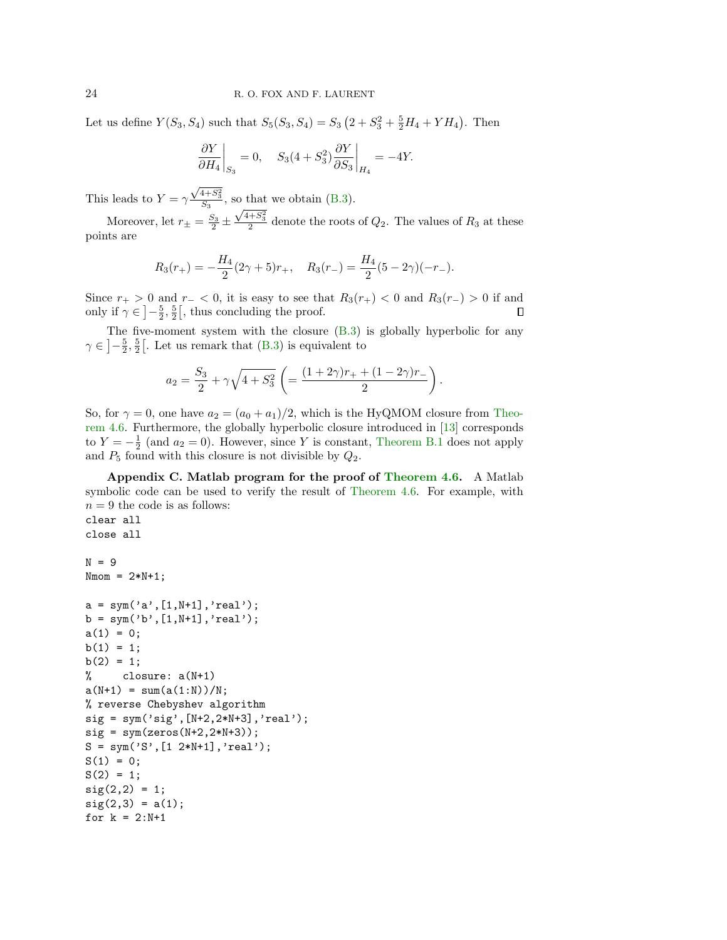Let us define  $Y(S_3, S_4)$  such that  $S_5(S_3, S_4) = S_3 (2 + S_3^2 + \frac{5}{2}H_4 + YH_4)$ . Then

$$
\left. \frac{\partial Y}{\partial H_4} \right|_{S_3} = 0, \quad S_3(4 + S_3^2) \frac{\partial Y}{\partial S_3} \bigg|_{H_4} = -4Y.
$$

This leads to  $Y = \gamma$  $\frac{\sqrt{4+S_3^2}}{S_3}$ , so that we obtain [\(B.3\)](#page-22-1).

Moreover, let  $r_{\pm} = \frac{S_3}{2} \pm \frac{\sqrt{4+S_3^2}}{2}$  denote the roots of  $Q_2$ . The values of  $R_3$  at these points are

$$
R_3(r_+) = -\frac{H_4}{2}(2\gamma + 5)r_+, \quad R_3(r_-) = \frac{H_4}{2}(5 - 2\gamma)(-r_-).
$$

Since  $r_{+} > 0$  and  $r_{-} < 0$ , it is easy to see that  $R_3(r_{+}) < 0$  and  $R_3(r_{-}) > 0$  if and only if  $\gamma \in \left]-\frac{5}{2},\frac{5}{2}\right[$ , thus concluding the proof. П

The five-moment system with the closure  $(B.3)$  is globally hyperbolic for any  $\gamma \in \left]-\frac{5}{2},\frac{5}{2}\right[$ . Let us remark that  $(B.3)$  is equivalent to

$$
a_2 = \frac{S_3}{2} + \gamma \sqrt{4 + S_3^2} \left( = \frac{(1 + 2\gamma)r_+ + (1 - 2\gamma)r_-}{2} \right).
$$

So, for  $\gamma = 0$ , one have  $a_2 = (a_0 + a_1)/2$ , which is the HyQMOM closure from [Theo](#page-11-7)[rem 4.6.](#page-11-7) Furthermore, the globally hyperbolic closure introduced in [\[13\]](#page-27-24) corresponds to  $Y = -\frac{1}{2}$  (and  $a_2 = 0$ ). However, since Y is constant, [Theorem B.1](#page-22-2) does not apply and  $P_5$  found with this closure is not divisible by  $Q_2$ .

<span id="page-23-0"></span>Appendix C. Matlab program for the proof of [Theorem 4.6.](#page-11-7) A Matlab symbolic code can be used to verify the result of [Theorem 4.6.](#page-11-7) For example, with  $n = 9$  the code is as follows:

```
clear all
close all
N = 9Nmom = 2*N+1;
a = sym('a', [1,N+1], 'real');b = sym('b', [1,N+1], 'real');a(1) = 0;b(1) = 1;b(2) = 1;% closure: a(N+1)
a(N+1) = sum(a(1:N))/N;% reverse Chebyshev algorithm
sig = sym('sig', [N+2, 2*N+3], 'real');sig = sym(zeros(N+2,2*N+3));S = sym('S', [1 2*N+1], 'real');S(1) = 0;S(2) = 1;sig(2,2) = 1;sig(2,3) = a(1);for k = 2:N+1
```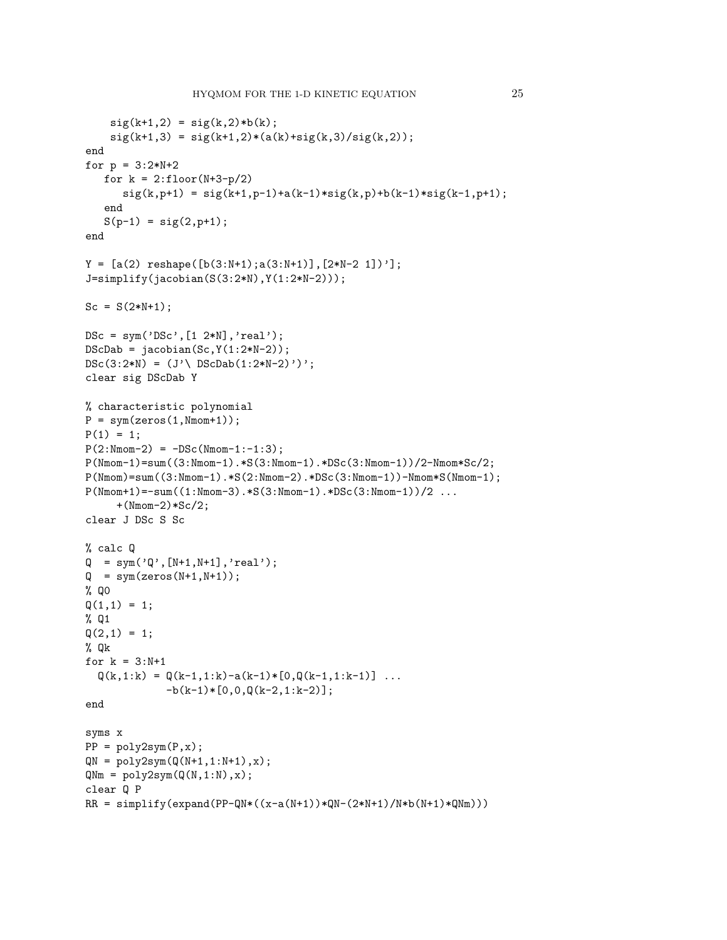```
sig(k+1,2) = sig(k,2)*b(k);sig(k+1,3) = sig(k+1,2)*(a(k)+sig(k,3)/sig(k,2));end
for p = 3:2*N+2for k = 2:1loor(N+3-p/2)sig(k, p+1) = sig(k+1, p-1)+a(k-1)*sig(k, p)+b(k-1)*sig(k-1, p+1);end
   S(p-1) = sig(2,p+1);end
Y = [a(2) reshape([b(3:N+1); a(3:N+1)], [2*N-2 1])'];
J=simplify(jacobian(S(3:2*N),Y(1:2*N-2)));
Sc = S(2*N+1);DSc = sym('DSc', [1 2*N], 'real');DScDab = jacobian(Sc, Y(1:2*N-2));DSc(3:2*N) = (J' \setminus DScDab(1:2*N-2)');
clear sig DScDab Y
% characteristic polynomial
P = sym(zeros(1,Nmom+1));P(1) = 1;
P(2: Nmom - 2) = -DSc(Nmom - 1:-1:3);P(Nmom-1)=sum((3:Nmom-1).*S(3:Nmom-1).*DSc(3:Nmom-1))/2-Nmom*Sc/2;
P(Nmom)=sum((3:Nmom-1).*S(2:Nmom-2).*DSc(3:Nmom-1))-Nmom*S(Nmom-1);P(Nmom+1) = -sum((1:Nmom-3) . * S(3:Nmom-1) . * DSc(3:Nmom-1))/2 ...
     +(Nmom-2)*Sc/2;
clear J DSc S Sc
% calc Q
\label{eq:Q} \begin{array}{ll} \mathbb{Q} & = \text{sym('}\mathbb{Q}^{\prime}\text{, [N+1,N+1]}\text{, 'real'})\text{;} \end{array}Q = sym(zeros(N+1,N+1));% Q0
Q(1,1) = 1;% Q1
Q(2,1) = 1;% Qk
for k = 3:N+1Q(k,1:k) = Q(k-1,1:k) - a(k-1)*(0,Q(k-1,1:k-1)) ...
              -b(k-1)*(0,0,0(k-2,1:k-2);
end
syms x
PP = poly2sym(P, x);QN = poly2sym(Q(N+1,1:N+1),x);QNm = poly2sym(Q(N,1:N),x);clear Q P
RR = simplify(expand(PP-QN*((x-a(N+1))*QN-(2*N+1)/N*b(N+1)*QNm)))
```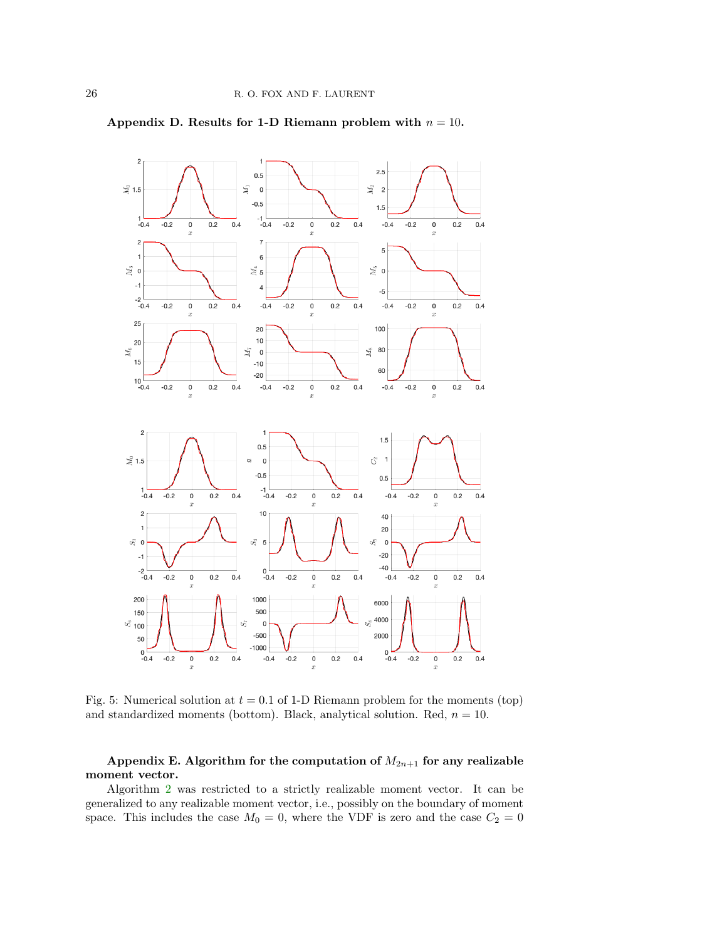

<span id="page-25-0"></span>Appendix D. Results for 1-D Riemann problem with  $n = 10$ .

Fig. 5: Numerical solution at  $t = 0.1$  of 1-D Riemann problem for the moments (top) and standardized moments (bottom). Black, analytical solution. Red,  $n = 10$ .

# <span id="page-25-1"></span>Appendix E. Algorithm for the computation of  $M_{2n+1}$  for any realizable moment vector.

Algorithm [2](#page-15-0) was restricted to a strictly realizable moment vector. It can be generalized to any realizable moment vector, i.e., possibly on the boundary of moment space. This includes the case  $M_0 = 0$ , where the VDF is zero and the case  $C_2 = 0$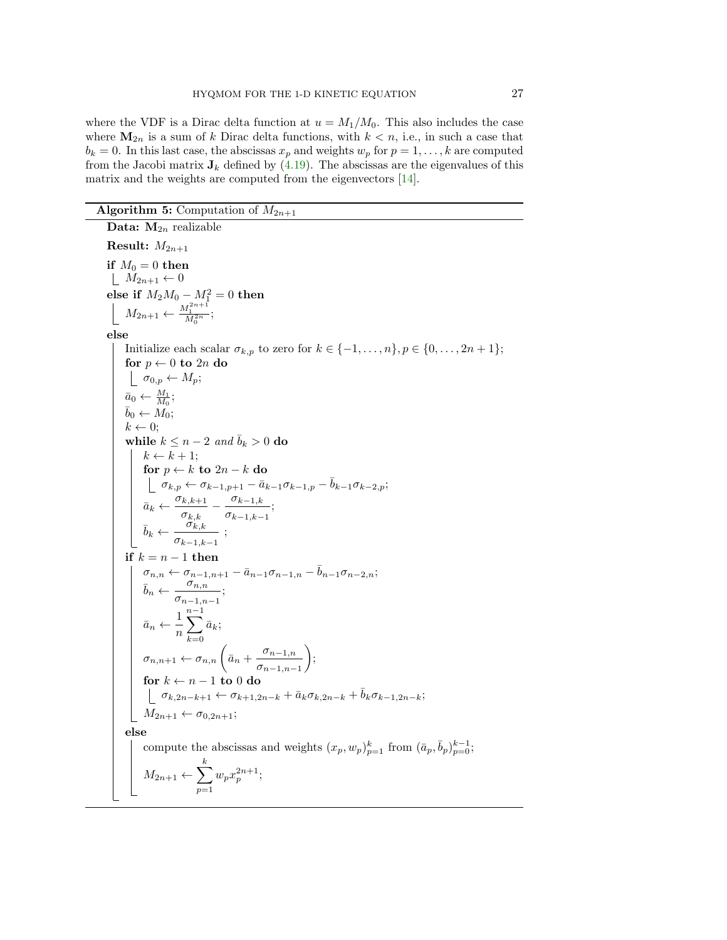where the VDF is a Dirac delta function at  $u = M_1/M_0$ . This also includes the case where  $M_{2n}$  is a sum of k Dirac delta functions, with  $k < n$ , i.e., in such a case that  $b_k = 0$ . In this last case, the abscissas  $x_p$  and weights  $w_p$  for  $p = 1, \ldots, k$  are computed from the Jacobi matrix  $J_k$  defined by [\(4.19\)](#page-14-3). The abscissas are the eigenvalues of this matrix and the weights are computed from the eigenvectors [\[14\]](#page-27-10).

## **Algorithm 5:** Computation of  $M_{2n+1}$

Data:  $M_{2n}$  realizable **Result:**  $M_{2n+1}$ if  $M_0 = 0$  then  $\mid M_{2n+1} \leftarrow 0$ else if  $M_2M_0 - M_1^2 = 0$  then  $M_{2n+1} \leftarrow \frac{M_1^{2n+1}}{M_0^{2n}};$ else Initialize each scalar  $\sigma_{k,p}$  to zero for  $k \in \{-1, \ldots, n\}, p \in \{0, \ldots, 2n+1\};$ for  $p \leftarrow 0$  to  $2n$  do  $\sigma_{0,p} \leftarrow M_p$ ;  $\bar{a}_0 \leftarrow \frac{M_1}{M_0};$  $\bar{b}_0 \leftarrow \widetilde{M_0};$  $k \leftarrow 0;$ while  $k \leq n-2$  and  $\bar{b}_k > 0$  do  $k \leftarrow k + 1;$ for  $p \leftarrow k$  to  $2n - k$  do  $\sigma_{k,p} \leftarrow \sigma_{k-1,p+1} - \bar{a}_{k-1}\sigma_{k-1,p} - \bar{b}_{k-1}\sigma_{k-2,p};$  $\bar{a}_k \leftarrow \frac{\sigma_{k,k+1}}{\sigma}$  $\frac{\sigma_{k,k+1}}{\sigma_{k,k}} - \frac{\sigma_{k-1,k}}{\sigma_{k-1,k-1}}$  $\frac{\sigma_{k-1,k}}{\sigma_{k-1,k-1}}$ ;  $\bar{b}_k \leftarrow \frac{\sigma_{k,k}}{\sigma}$  $\frac{\sigma_{k,k}}{\sigma_{k-1,k-1}}$ ; if  $k = n - 1$  then  $\sigma_{n,n} \leftarrow \sigma_{n-1,n+1} - \bar{a}_{n-1}\sigma_{n-1,n} - \bar{b}_{n-1}\sigma_{n-2,n};$  $\overline{b}_n \leftarrow \frac{\sigma_{n,n}}{n}$  $\frac{\sigma_{n,n}}{\sigma_{n-1,n-1}};$  $\bar{a}_n \leftarrow \frac{1}{n}$ n  $\sum^{n-1}$  $_{k=0}$  $\bar{a}_k;$  $\sigma_{n,n+1} \leftarrow \sigma_{n,n} \left( \bar{a}_n + \frac{\sigma_{n-1,n}}{\sigma} \right)$  $\sigma_{n-1,n-1}$  $\bigg),$ for  $k \leftarrow n - 1$  to 0 do  $\sigma_{k,2n-k+1} \leftarrow \sigma_{k+1,2n-k} + \bar{a}_k \sigma_{k,2n-k} + \bar{b}_k \sigma_{k-1,2n-k};$  $M_{2n+1} \leftarrow \sigma_{0,2n+1};$ else compute the abscissas and weights  $(x_p, w_p)_{p=1}^k$  from  $(\bar{a}_p, \bar{b}_p)_{p=0}^{k-1}$ ;  $M_{2n+1} \leftarrow \sum_{k=1}^{k}$  $p=1$  $w_px_p^{2n+1};$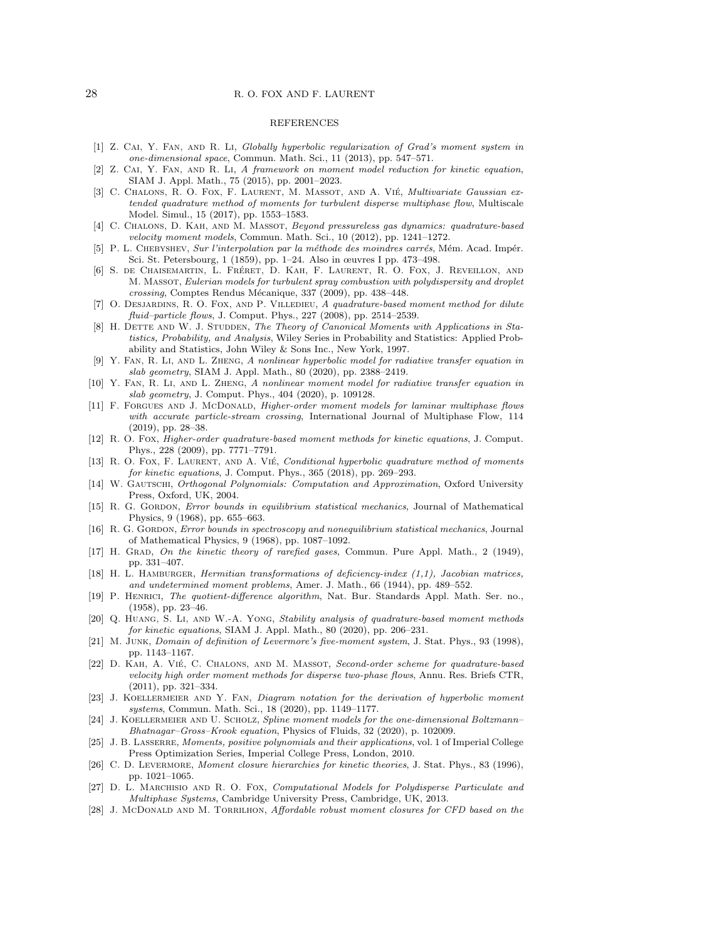#### 28 R. O. FOX AND F. LAURENT

#### REFERENCES

- <span id="page-27-13"></span>[1] Z. Cai, Y. Fan, and R. Li, Globally hyperbolic regularization of Grad's moment system in one-dimensional space, Commun. Math. Sci., 11 (2013), pp. 547–571.
- <span id="page-27-14"></span>[2] Z. CAI, Y. FAN, AND R. LI, A framework on moment model reduction for kinetic equation, SIAM J. Appl. Math., 75 (2015), pp. 2001–2023.
- <span id="page-27-23"></span>[3] C. CHALONS, R. O. FOX, F. LAURENT, M. MASSOT, AND A. VIÉ, Multivariate Gaussian extended quadrature method of moments for turbulent disperse multiphase flow, Multiscale Model. Simul., 15 (2017), pp. 1553–1583.
- <span id="page-27-17"></span>[4] C. Chalons, D. Kah, and M. Massot, Beyond pressureless gas dynamics: quadrature-based velocity moment models, Commun. Math. Sci., 10 (2012), pp. 1241–1272.
- <span id="page-27-11"></span>[5] P. L. CHEBYSHEV, Sur l'interpolation par la méthode des moindres carrés, Mém. Acad. Impér. Sci. St. Petersbourg, 1 (1859), pp. 1–24. Also in œuvres I pp. 473–498.
- <span id="page-27-20"></span>[6] S. de Chaisemartin, L. Fréret, D. Kah, F. Laurent, R. O. Fox, J. Reveillon, and M. Massot, Eulerian models for turbulent spray combustion with polydispersity and droplet crossing, Comptes Rendus Mécanique, 337 (2009), pp. 438-448.
- <span id="page-27-18"></span>[7] O. DESJARDINS, R. O. FOX, AND P. VILLEDIEU, A quadrature-based moment method for dilute fluid–particle flows, J. Comput. Phys., 227 (2008), pp. 2514–2539.
- <span id="page-27-4"></span>[8] H. DETTE AND W. J. STUDDEN, The Theory of Canonical Moments with Applications in Statistics, Probability, and Analysis, Wiley Series in Probability and Statistics: Applied Probability and Statistics, John Wiley & Sons Inc., New York, 1997.
- <span id="page-27-7"></span>[9] Y. Fan, R. Li, and L. Zheng, A nonlinear hyperbolic model for radiative transfer equation in slab geometry, SIAM J. Appl. Math., 80 (2020), pp. 2388–2419.
- <span id="page-27-8"></span>[10] Y. FAN, R. LI, AND L. ZHENG, A nonlinear moment model for radiative transfer equation in slab geometry, J. Comput. Phys., 404 (2020), p. 109128.
- <span id="page-27-16"></span>[11] F. FORGUES AND J. MCDONALD, Higher-order moment models for laminar multiphase flows with accurate particle-stream crossing, International Journal of Multiphase Flow, 114 (2019), pp. 28–38.
- <span id="page-27-19"></span>[12] R. O. Fox, Higher-order quadrature-based moment methods for kinetic equations, J. Comput. Phys., 228 (2009), pp. 7771–7791.
- <span id="page-27-24"></span>[13] R. O. Fox, F. LAURENT, AND A. VIÉ, Conditional hyperbolic quadrature method of moments for kinetic equations, J. Comput. Phys., 365 (2018), pp. 269–293.
- <span id="page-27-10"></span>[14] W. GAUTSCHI, Orthogonal Polynomials: Computation and Approximation, Oxford University Press, Oxford, UK, 2004.
- <span id="page-27-26"></span>[15] R. G. GORDON, Error bounds in equilibrium statistical mechanics, Journal of Mathematical Physics, 9 (1968), pp. 655–663.
- <span id="page-27-27"></span>[16] R. G. GORDON, *Error bounds in spectroscopy and nonequilibrium statistical mechanics*, Journal of Mathematical Physics, 9 (1968), pp. 1087–1092.
- <span id="page-27-0"></span>[17] H. GRAD, On the kinetic theory of rarefied gases, Commun. Pure Appl. Math., 2 (1949), pp. 331–407.
- <span id="page-27-3"></span>[18] H. L. HAMBURGER, *Hermitian transformations of deficiency-index (1,1), Jacobian matrices*, and undetermined moment problems, Amer. J. Math., 66 (1944), pp. 489–552.
- <span id="page-27-25"></span>[19] P. Henrici, The quotient-difference algorithm, Nat. Bur. Standards Appl. Math. Ser. no., (1958), pp. 23–46.
- <span id="page-27-6"></span>[20] Q. Huang, S. Li, and W.-A. Yong, Stability analysis of quadrature-based moment methods for kinetic equations, SIAM J. Appl. Math., 80 (2020), pp. 206–231.
- <span id="page-27-9"></span>[21] M. Junk, Domain of definition of Levermore's five-moment system, J. Stat. Phys., 93 (1998), pp. 1143–1167.
- <span id="page-27-21"></span>[22] D. KAH, A. VIÉ, C. CHALONS, AND M. MASSOT, Second-order scheme for quadrature-based velocity high order moment methods for disperse two-phase flows, Annu. Res. Briefs CTR, (2011), pp. 321–334.
- <span id="page-27-15"></span>[23] J. KOELLERMEIER AND Y. FAN, Diagram notation for the derivation of hyperbolic moment systems, Commun. Math. Sci., 18 (2020), pp. 1149–1177.
- <span id="page-27-12"></span>[24] J. KOELLERMEIER AND U. SCHOLZ, Spline moment models for the one-dimensional Boltzmann– Bhatnagar–Gross–Krook equation, Physics of Fluids, 32 (2020), p. 102009.
- <span id="page-27-5"></span>[25] J. B. LASSERRE, Moments, positive polynomials and their applications, vol. 1 of Imperial College Press Optimization Series, Imperial College Press, London, 2010.
- <span id="page-27-1"></span>[26] C. D. LEVERMORE, Moment closure hierarchies for kinetic theories, J. Stat. Phys., 83 (1996), pp. 1021–1065.
- <span id="page-27-22"></span>[27] D. L. Marchisio and R. O. Fox, Computational Models for Polydisperse Particulate and Multiphase Systems, Cambridge University Press, Cambridge, UK, 2013.
- <span id="page-27-2"></span>[28] J. McDONALD AND M. TORRILHON, Affordable robust moment closures for CFD based on the